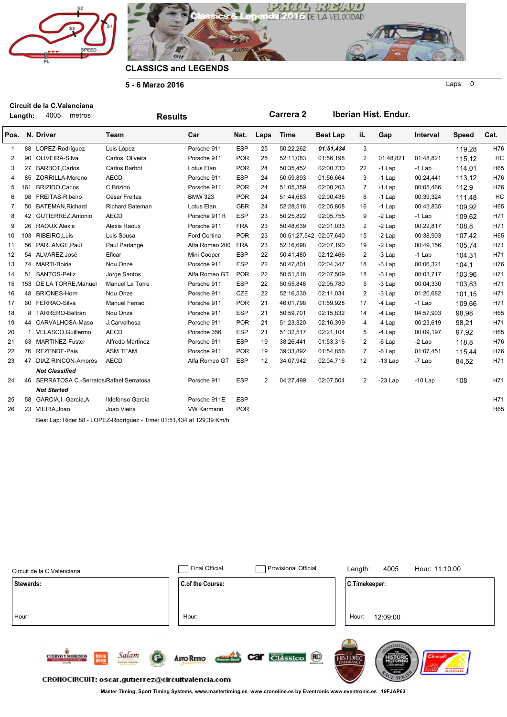



**5 - 6 Marzo 2016**

**Length:** metros **Circuit de la C.Valenciana** 4005

Laps: 0

|                | Length:      | 4005<br>metros                            | <b>Results</b>                                                        |                   |            |                | Carrera 2              |                 |                | Iberian Hist. Endur. |           |              |      |
|----------------|--------------|-------------------------------------------|-----------------------------------------------------------------------|-------------------|------------|----------------|------------------------|-----------------|----------------|----------------------|-----------|--------------|------|
| Pos.           |              | N. Driver                                 | Team                                                                  | Car               | Nat.       | Laps           | Time                   | <b>Best Lap</b> | iL             | Gap                  | Interval  | <b>Speed</b> | Cat. |
| 1              |              | 88 LOPEZ-Rodríguez                        | Luis López                                                            | Porsche 911       | <b>ESP</b> | 25             | 50:22,262              | 01:51,434       | 3              |                      |           | 119,28       | H76  |
| $\overline{2}$ | 90           | OLIVEIRA-Silva                            | Carlos Oliveira                                                       | Porsche 911       | <b>POR</b> | 25             | 52:11,083              | 01:56,198       | $\overline{2}$ | 01:48.821            | 01:48,821 | 115,12       | HC   |
| 3              | 27           | <b>BARBOT, Carlos</b>                     | Carlos Barbot                                                         | Lotus Elan        | <b>POR</b> | 24             | 50:35,452              | 02:00,730       | 22             | $-1$ Lap             | $-1$ Lap  | 114,01       | H65  |
| 4              | 85           | ZORRILLA-Moreno                           | <b>AECD</b>                                                           | Porsche 911       | <b>ESP</b> | 24             | 50:59,893              | 01:56,664       | 3              | $-1$ Lap             | 00:24,441 | 113,12       | H76  |
| 5              | 161          | BRIZIDO, Carlos                           | C.Brizido                                                             | Porsche 911       | <b>POR</b> | 24             | 51:05.359              | 02:00,203       | 7              | $-1$ Lap             | 00:05,466 | 112,9        | H76  |
| 6              | 98           | FREITAS-Ribeiro                           | César Freitas                                                         | <b>BMW 323</b>    | <b>POR</b> | 24             | 51:44,683              | 02:00,436       | 6              | $-1$ Lap             | 00:39,324 | 111,48       | HC   |
| 7              | 50           | BATEMAN, Richard                          | <b>Richard Bateman</b>                                                | Lotus Elan        | <b>GBR</b> | 24             | 52:28,518              | 02:05,808       | 16             | $-1$ Lap             | 00:43,835 | 109,92       | H65  |
| 8              | 42           | GUTIERREZ, Antonio                        | <b>AECD</b>                                                           | Porsche 911R      | <b>ESP</b> | 23             | 50:25,822              | 02:05,755       | 9              | $-2$ Lap             | $-1$ Lap  | 109.62       | H71  |
| 9              | 26           | RAOUX, Alexis                             | Alexis Raoux                                                          | Porsche 911       | <b>FRA</b> | 23             | 50:48,639              | 02:01,033       | 2              | $-2$ Lap             | 00:22,817 | 108,8        | H71  |
| 10             | 103          | RIBEIRO, Luis                             | Luis Sousa                                                            | Ford Cortina      | <b>POR</b> | 23             | 00:51:27,542 02:07,640 |                 | 15             | $-2$ Lap             | 00:38,903 | 107,42       | H65  |
| 11             |              | 56 PARLANGE, Paul                         | Paul Parlange                                                         | Alfa Romeo 200    | <b>FRA</b> | 23             | 52:16,698              | 02:07,190       | 19             | $-2$ Lap             | 00:49,156 | 105.74       | H71  |
| 12             |              | 54 ALVAREZ, José                          | Eficar                                                                | Mini Cooper       | <b>ESP</b> | 22             | 50:41.480              | 02:12,466       | $\overline{2}$ | $-3$ Lap             | $-1$ Lap  | 104,31       | H71  |
| 13             |              | 74 MARTI-Boiria                           | Nou Onze                                                              | Porsche 911       | <b>ESP</b> | 22             | 50:47,801              | 02:04,347       | 18             | $-3$ Lap             | 00:06,321 | 104.1        | H76  |
| 14             |              | 51 SANTOS-Petiz                           | Jorge Santos                                                          | Alfa Romeo GT     | <b>POR</b> | 22             | 50:51,518              | 02:07,509       | 18             | $-3$ Lap             | 00:03,717 | 103,96       | H71  |
| 15             | 153          | DE LA TORRE, Manuel                       | Manuel La Torre                                                       | Porsche 911       | <b>ESP</b> | 22             | 50:55,848              | 02:05,780       | 5              | $-3$ Lap             | 00:04,330 | 103,83       | H71  |
| 16             | 48           | <b>BRIONES-Horn</b>                       | Nou Onze                                                              | Porsche 911       | CZE        | 22             | 52:16,530              | 02:11,034       | 2              | $-3$ Lap             | 01:20,682 | 101,15       | H71  |
| 17             |              | 60 FERRAO-Silva                           | <b>Manuel Ferrao</b>                                                  | Porsche 911       | <b>POR</b> | 21             | 46:01.798              | 01:59,928       | 17             | $-4$ Lap             | $-1$ Lap  | 109,66       | H71  |
| 18             |              | 8 TARRERO-Beltrán                         | Nou Onze                                                              | Porsche 911       | <b>ESP</b> | 21             | 50:59,701              | 02:15,832       | 14             | $-4$ Lap             | 04:57,903 | 98,98        | H65  |
| 19             |              | 44 CARVALHOSA-Maso                        | J.Carvalhosa                                                          | Porsche 911       | <b>POR</b> | 21             | 51:23,320              | 02:16,399       | 4              | $-4$ Lap             | 00:23,619 | 98,21        | H71  |
| 20             | $\mathbf{1}$ | VELASCO, Guillermo                        | <b>AECD</b>                                                           | Porsche 356       | <b>ESP</b> | 21             | 51:32,517              | 02:21,104       | 5              | $-4$ Lap             | 00:09,197 | 97.92        | H65  |
| 21             |              | 63 MARTINEZ-Fuster                        | Alfredo Martínez                                                      | Porsche 911       | <b>ESP</b> | 19             | 38:26,441              | 01:53,316       | 2              | $-6$ Lap             | $-2$ Lap  | 118,8        | H76  |
| 22             | 76           | <b>REZENDE-Pais</b>                       | <b>ASM TEAM</b>                                                       | Porsche 911       | <b>POR</b> | 19             | 39:33,892              | 01:54,856       | $\overline{7}$ | $-6$ Lap             | 01:07.451 | 115,44       | H76  |
| 23             | 47           | DIAZ RINCON-Amorós                        | <b>AECD</b>                                                           | Alfa Romeo GT     | <b>ESP</b> | 12             | 34:07,942              | 02:04,716       | 12             | -13 Lap              | -7 Lap    | 84,52        | H71  |
|                |              | <b>Not Classified</b>                     |                                                                       |                   |            |                |                        |                 |                |                      |           |              |      |
| 24             |              | 46 SERRATOSA C.-Serratos Rafael Serratosa |                                                                       | Porsche 911       | <b>ESP</b> | $\overline{2}$ | 04:27,499              | 02:07,504       | 2              | $-23$ Lap            | $-10$ Lap | 108          | H71  |
|                |              | <b>Not Started</b>                        |                                                                       |                   |            |                |                        |                 |                |                      |           |              |      |
| 25             | 58           | GARCIA, I.-García, A.                     | Ildefonso García                                                      | Porsche 911E      | <b>ESP</b> |                |                        |                 |                |                      |           |              | H71  |
| 26             |              | 23 VIEIRA, Joao                           | Joao Vieira                                                           | <b>VW Karmann</b> | <b>POR</b> |                |                        |                 |                |                      |           |              | H65  |
|                |              |                                           | Best Lap: Rider 88 - LOPEZ-Rodríguez - Time: 01:51,434 at 129,39 Km/h |                   |            |                |                        |                 |                |                      |           |              |      |

| Circuit de la C.Valenciana                                                                                                                                                     | <b>Final Official</b><br><b>Provisional Official</b> | 4005<br>Hour: 11:10:00<br>Length:                                                                                      |
|--------------------------------------------------------------------------------------------------------------------------------------------------------------------------------|------------------------------------------------------|------------------------------------------------------------------------------------------------------------------------|
| Stewards:                                                                                                                                                                      | C.of the Course:                                     | C.Timekeeper:                                                                                                          |
| Hour:                                                                                                                                                                          | Hour:                                                | Hour:<br>12:09:00                                                                                                      |
| Salam<br>hsim<br>Olum<br><b>CUERVO Y SOBRINOS</b><br><b>STREET COLLECTION CONTINUES.</b><br>Esplishe Payerté<br>area city<br>CRONOCIRCUIT: oscar.gutierrez@circuitvalencia.com | <b>Car</b> <i>Classico</i> (0)<br><b>AUTO RETRO</b>  | (1.337)<br>Circuit<br><b>STORIC</b><br><b>NDURWICI</b><br>ded are admissioners<br><b>COLLEGE</b><br>$-3010$<br>CE SERA |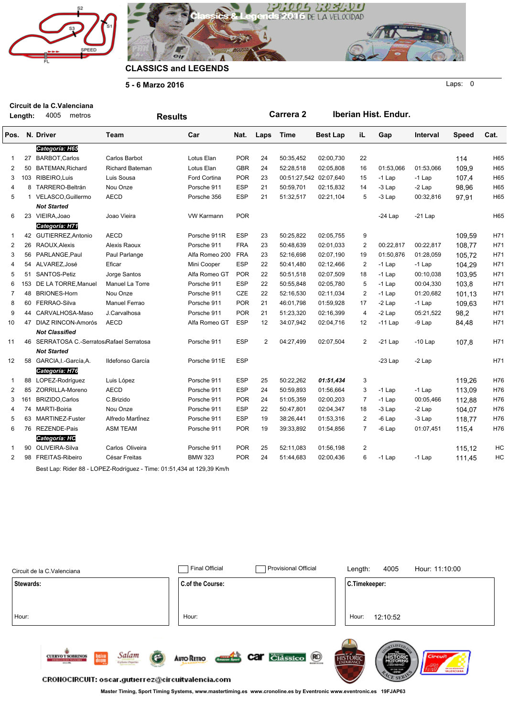



**Carrera 2 Iberian Hist. Endur.**

Laps: 0

**5 - 6 Marzo 2016**

**Length:** 4005 metros **Circuit de la C.Valenciana**

|                | Length: | 4005<br>metros                            | <b>Results</b>         |                   |            |                | <b>Carrera 2</b>       |                 |                | Iberian Hist. Endur. |           |              |      |
|----------------|---------|-------------------------------------------|------------------------|-------------------|------------|----------------|------------------------|-----------------|----------------|----------------------|-----------|--------------|------|
| Pos.           |         | N. Driver                                 | Team                   | Car               | Nat.       | Laps           | <b>Time</b>            | <b>Best Lap</b> | iL             | Gap                  | Interval  | <b>Speed</b> | Cat. |
|                |         | Categoría: H65                            |                        |                   |            |                |                        |                 |                |                      |           |              |      |
| $\mathbf{1}$   | 27      | <b>BARBOT.Carlos</b>                      | Carlos Barbot          | Lotus Elan        | <b>POR</b> | 24             | 50:35.452              | 02:00,730       | 22             |                      |           | 114          | H65  |
| 2              |         | 50 BATEMAN, Richard                       | <b>Richard Bateman</b> | Lotus Elan        | <b>GBR</b> | 24             | 52:28,518              | 02:05,808       | 16             | 01:53.066            | 01:53,066 | 109,9        | H65  |
| 3              |         | 103 RIBEIRO, Luis                         | Luis Sousa             | Ford Cortina      | <b>POR</b> | 23             | 00:51:27,542 02:07,640 |                 | 15             | $-1$ Lap             | $-1$ Lap  | 107,4        | H65  |
| 4              |         | 8 TARRERO-Beltrán                         | Nou Onze               | Porsche 911       | <b>ESP</b> | 21             | 50:59,701              | 02:15,832       | 14             | -3 Lap               | $-2$ Lap  | 98,96        | H65  |
| 5              |         | 1 VELASCO, Guillermo                      | <b>AECD</b>            | Porsche 356       | <b>ESP</b> | 21             | 51:32,517              | 02:21,104       | 5              | $-3$ Lap             | 00:32,816 | 97,91        | H65  |
|                |         | <b>Not Started</b>                        |                        |                   |            |                |                        |                 |                |                      |           |              |      |
| 6              |         | 23 VIEIRA.Joao                            | Joao Vieira            | <b>VW Karmann</b> | <b>POR</b> |                |                        |                 |                | -24 Lap              | $-21$ Lap |              | H65  |
|                |         | Categoría: H71                            |                        |                   |            |                |                        |                 |                |                      |           |              |      |
| 1              |         | 42 GUTIERREZ, Antonio                     | <b>AECD</b>            | Porsche 911R      | <b>ESP</b> | 23             | 50:25,822              | 02:05,755       | 9              |                      |           | 109,59       | H71  |
| $\overline{2}$ |         | 26 RAOUX, Alexis                          | Alexis Raoux           | Porsche 911       | <b>FRA</b> | 23             | 50:48,639              | 02:01,033       | $\overline{2}$ | 00:22,817            | 00:22,817 | 108.77       | H71  |
| 3              |         | 56 PARLANGE, Paul                         | Paul Parlange          | Alfa Romeo 200    | <b>FRA</b> | 23             | 52:16,698              | 02:07,190       | 19             | 01:50,876            | 01:28,059 | 105,72       | H71  |
| 4              |         | 54 ALVAREZ, José                          | Eficar                 | Mini Cooper       | <b>ESP</b> | 22             | 50:41,480              | 02:12,466       | $\overline{2}$ | $-1$ Lap             | $-1$ Lap  | 104,29       | H71  |
| 5              |         | 51 SANTOS-Petiz                           | Jorge Santos           | Alfa Romeo GT     | <b>POR</b> | 22             | 50:51,518              | 02:07,509       | 18             | $-1$ Lap             | 00:10.038 | 103.95       | H71  |
| 6              |         | 153 DE LA TORRE, Manuel                   | Manuel La Torre        | Porsche 911       | <b>ESP</b> | 22             | 50:55,848              | 02:05,780       | 5              | $-1$ Lap             | 00:04,330 | 103,8        | H71  |
| $\overline{7}$ |         | 48 BRIONES-Horn                           | Nou Onze               | Porsche 911       | CZE        | 22             | 52:16,530              | 02:11,034       | $\overline{c}$ | $-1$ Lap             | 01:20,682 | 101,13       | H71  |
| 8              |         | 60 FERRAO-Silva                           | <b>Manuel Ferrao</b>   | Porsche 911       | <b>POR</b> | 21             | 46:01.798              | 01:59,928       | 17             | -2 Lap               | $-1$ Lap  | 109.63       | H71  |
| 9              |         | 44 CARVALHOSA-Maso                        | J.Carvalhosa           | Porsche 911       | <b>POR</b> | 21             | 51:23,320              | 02:16,399       | $\overline{4}$ | $-2$ Lap             | 05:21,522 | 98,2         | H71  |
| 10             |         | 47 DIAZ RINCON-Amorós                     | <b>AECD</b>            | Alfa Romeo GT     | <b>ESP</b> | 12             | 34:07,942              | 02:04,716       | 12             | $-11$ Lap            | $-9$ Lap  | 84,48        | H71  |
|                |         | <b>Not Classified</b>                     |                        |                   |            |                |                        |                 |                |                      |           |              |      |
| 11             |         | 46 SERRATOSA C.-Serratos:Rafael Serratosa |                        | Porsche 911       | <b>ESP</b> | $\overline{2}$ | 04:27.499              | 02:07,504       | $\overline{2}$ | $-21$ Lap            | $-10$ Lap | 107,8        | H71  |
|                |         | <b>Not Started</b>                        |                        |                   |            |                |                        |                 |                |                      |           |              |      |
| 12             |         | 58 GARCIA, I.-García, A.                  | Ildefonso García       | Porsche 911E      | <b>ESP</b> |                |                        |                 |                | $-23$ Lap            | $-2$ Lap  |              | H71  |
|                |         | Categoría: H76                            |                        |                   |            |                |                        |                 |                |                      |           |              |      |
| 1              |         | 88 LOPEZ-Rodríguez                        | Luis López             | Porsche 911       | ESP        | 25             | 50:22,262              | 01:51,434       | 3              |                      |           | 119,26       | H76  |
| $\overline{2}$ |         | 85 ZORRILLA-Moreno                        | <b>AECD</b>            | Porsche 911       | <b>ESP</b> | 24             | 50:59.893              | 01:56,664       | 3              | $-1$ Lap             | $-1$ Lap  | 113,09       | H76  |
| 3              | 161     | <b>BRIZIDO, Carlos</b>                    | C.Brizido              | Porsche 911       | <b>POR</b> | 24             | 51:05,359              | 02:00,203       | $\overline{7}$ | $-1$ Lap             | 00:05,466 | 112,88       | H76  |
| 4              |         | 74 MARTI-Boiria                           | Nou Onze               | Porsche 911       | <b>ESP</b> | 22             | 50:47,801              | 02:04,347       | 18             | $-3$ Lap             | $-2$ Lap  | 104,07       | H76  |
| 5              |         | 63 MARTINEZ-Fuster                        | Alfredo Martínez       | Porsche 911       | <b>ESP</b> | 19             | 38:26,441              | 01:53,316       | $\overline{2}$ | -6 Lap               | $-3$ Lap  | 118,77       | H76  |
| 6              |         | 76 REZENDE-Pais                           | <b>ASM TEAM</b>        | Porsche 911       | <b>POR</b> | 19             | 39:33,892              | 01:54,856       | $\overline{7}$ | $-6$ Lap             | 01:07,451 | 115,4        | H76  |
|                |         | Categoría: HC                             |                        |                   |            |                |                        |                 |                |                      |           |              |      |
| 1              |         | 90 OLIVEIRA-Silva                         | Carlos Oliveira        | Porsche 911       | <b>POR</b> | 25             | 52:11,083              | 01:56,198       | $\overline{2}$ |                      |           | 115,12       | HC   |
| $\overline{2}$ |         | 98 FREITAS-Ribeiro                        | César Freitas          | <b>BMW 323</b>    | <b>POR</b> | 24             | 51:44,683              | 02:00,436       | 6              | $-1$ Lap             | $-1$ Lap  | 111,45       | HC   |
|                |         |                                           |                        |                   |            |                |                        |                 |                |                      |           |              |      |

Best Lap: Rider 88 - LOPEZ-Rodríguez - Time: 01:51,434 at 129,39 Km/h

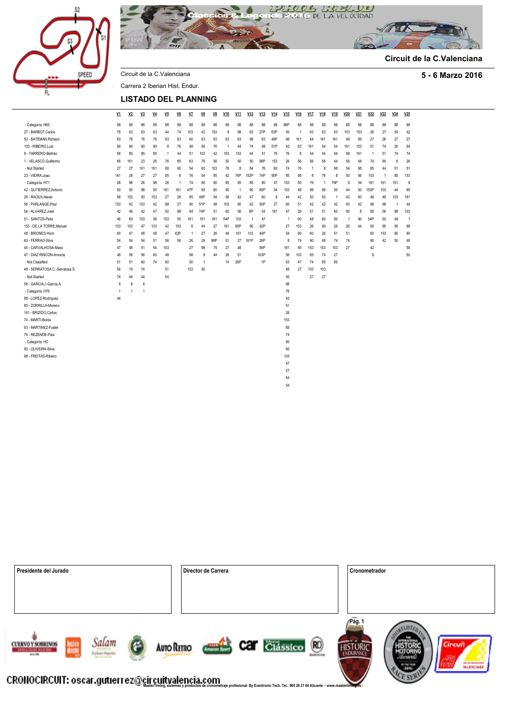



**Circuit de la C.Valenciana**

Circuit de la C.Valenciana **5 - 6 Marzo 2016** Carrera 2 Iberian Hist. Endur.

#### **LISTADO DEL PLANNING**

|                                | V1           | V <sub>2</sub> | V3  | $VI$ | V <sub>5</sub> | $V6$           | V <sub>7</sub> | V8  | V <sub>9</sub> | V10            | V11            | V12            | V13  | V14 | V15            | $VI6$          | V <sub>17</sub> | V18 | V19            | V20 | V21 | V <sub>22</sub> | V23            | V24 | V25            |
|--------------------------------|--------------|----------------|-----|------|----------------|----------------|----------------|-----|----------------|----------------|----------------|----------------|------|-----|----------------|----------------|-----------------|-----|----------------|-----|-----|-----------------|----------------|-----|----------------|
| - Categoría: H65               | 88           | 88             | 88  | 88   | 88             | 88             | 88             | 88  | 88             | 88             | 88             | 88             | 88   | 88  | 88P            | 88             | 88              | 88  | 88             | 88  | 88  | 88              | 88             | 88  | 88             |
| 27 - BARBOT.Carlos             | 76           | 63             | 63  | 63   | 44             | 74             | 103            | 42  | 153            | 8              | 98             | 63             | 27P  | 63P | 50             | $\overline{1}$ | 63              | 63  | 63             | 103 | 153 | 26              | 27             | 54  | 42             |
| 50 - BATEMAN.Richard           | 63           | 76             | 76  | 76   | 63             | 63             | 60             | 63  | 63             | 63             | 63             | 98             | 63   | 48P | 98             | 161            | 44              | 161 | 161            | 48  | 85  | 27              | 26             | 27  | 27             |
| 103 - RIBEIRO.Luis             | 90           | 90             | 90  | 90   | 8              | 76             | 48             | 56  | 76             | $\overline{1}$ | 44             | 74             | 48   | 51P | 42             | 63             | 161             | 54  | 54             | 161 | 103 | 51              | 74             | 26  | 54             |
| 8 - TARRERO-Beltrán            | 58           | 85             | 85  | 85   | $\overline{1}$ | 44             | 51             | 103 | 42             | 153            | 153            | 44             | 51   | 76  | 76             | 8              | 54              | 44  | 56             | 98  | 161 | $\overline{1}$  | 51             | 74  | 74             |
| 1 - VELASCO.Guillermo          | 85           | 161            | 23  | 26   | 76             | 85             | 63             | 76  | 56             | 50             | 50             | 50             | 98P  | 153 | 26             | 56             | 56              | 56  | 44             | 56  | 48  | 74              | 85             | 8   | 26             |
| - Not Started                  | 27           | 27             | 161 | 161  | 90             | 90             | 54             | 60  | 103            | 76             | 8              | 54             | 76   | 60  | 74             | 76             | 1               | 8   | 98             | 54  | 98  | 85              | 44             | 51  | 51             |
| 23 - VIEIRA, Joao              | 161          | 26             | 27  | 27   | 85             | 8              | 76             | 54  | 85             | 42             | 76P            | 153P           | 74P  | 90P | 85             | 98             | 8               | 76  | 8              | 50  | 56  | 103             | $\overline{1}$ | 85  | 153            |
| - Categoría: H71               | 26           | 98             | 26  | 98   | 26             | $\overline{1}$ | 74             | 90  | 90             | 85             | 85             | 85             | 90   | 47  | 153            | 50             | 76              | -1  | 76P            | 8   | 54  | 161             | 161            | 161 | 8              |
| 42 - GUTIERREZ.Antonio         | 50           | 50             | 98  | 50   | 161            | 161            | 47P            | 85  | 60             | 90             | $\overline{1}$ | 90             | 85P  | 54  | 103            | 48             | 98              | 98  | 50             | 44  | 50  | 153P            | 103            | 44  | 85             |
| 26 - RAOUX.Alexis              | 98           | 153            | 50  | 153  | 27             | 26             | 85             | 48P | 54             | 56             | 42             | 47             | 60   | 8   | 44             | 42             | 50              | 50  | $\overline{1}$ | 42  | 60  | 48              | 48             | 103 | 161            |
| 56 - PARLANGE.Paul             | 153          | 42             | 153 | 42   | 98             | 27             | 90             | 51P | 48             | 103            | 90             | 42             | 50P  | 27  | 60             | 51             | 42              | 42  | 42             | 60  | 42  | 98              | 98             | 1   | 44             |
| 54 - ALVAREZ.José              | 42           | 46             | 42  | 47   | 50             | 98             | 44             | 74P | 51             | 60             | 56             | 8P             | 54   | 161 | 47             | 26             | 51              | 51  | 60             | 90  | 8   | 56              | 56             | 98  | 103            |
| 51 - SANTOS-Petiz              | 46           | 60             | 103 | 56   | 153            | 50             | 161            | 161 | 161            | 54P            | 103            | $\overline{1}$ | 47   |     | $\overline{1}$ | 60             | 48              | 60  | 90             | 1   | 90  | 54P             | 50             | 48  | $\overline{1}$ |
| 153 - DE LA TORRE.Manuel       | 103          | 103            | 47  | 103  | 42             | 153            | 8              | 44  | 27             | 161            | 60P            | 56             | 42P  |     | 27             | 153            | 26              | 90  | 26             | 26  | 44  | 50              | 90             | 56  | 98             |
| 48 - BRIONES-Horn              | 60           | 47             | 48  | 48   | 47             | 42P            | 1              | 27  | 26             | 48             | 161            | 103            | 44P  |     | 54             | 90             | 60              | 26  | 51             | 51  |     | 60              | 153            | 90  | 90             |
| 60 - FFRRAO-Silva              | 54           | 54             | 54  | 51   | 56             | 56             | 26             | 26  | 98P            | 51             | 27             | 161P           | 26P  |     | 8              | 74             | 90              | 48  | 74             | 74  |     | 90              | 42             | 50  | 48             |
| 44 - CARVALHOSA-Maso           | 47           | 48             | 51  | 54   | 103            |                | 27             | 98  | 74             | 27             | 48             |                | 56P  |     | 161            | 85             | 153             | 153 | 153            | 27  |     | 42              |                |     | 56             |
| 47 - DIAZ RINCON-Amorós        | 48           | 56             | 56  | 60   | 48             |                | 98             | 8   | 44             | 26             | 51             |                | 103P |     | 56             | 103            | 85              | 74  | 27             |     |     | 8               |                |     | 50             |
| - Not Classified               | 51           | 51             | 60  | 74   | 60             |                | 50             | 1   |                | 74             | 26P            |                | 1P   |     | 63             | 47             | 74              | 85  | 85             |     |     |                 |                |     |                |
| 46 - SERRATOSA C.-Serratosa S. | 56           | 74             | 74  |      | 51             |                | 153            | 50  |                |                |                |                |      |     | 48             | 27             | 103             | 103 |                |     |     |                 |                |     |                |
| - Not Started                  | 74           | 44             | 44  |      | 54             |                |                |     |                |                |                |                |      |     | 50             |                | 27              | 27  |                |     |     |                 |                |     |                |
| 58 - GARCIA.I.-García.A.       | 8            | 8              | 8   |      |                |                |                |     |                |                |                |                |      |     | 98             |                |                 |     |                |     |     |                 |                |     |                |
| - Categoría: H76               | $\mathbf{1}$ |                | 1   |      |                |                |                |     |                |                |                |                |      |     | 76             |                |                 |     |                |     |     |                 |                |     |                |
| 88 - LOPEZ-Rodríguez           | 44           |                |     |      |                |                |                |     |                |                |                |                |      |     | 42             |                |                 |     |                |     |     |                 |                |     |                |
| 85 - ZORRILLA-Moreno           |              |                |     |      |                |                |                |     |                |                |                |                |      |     | 51             |                |                 |     |                |     |     |                 |                |     |                |
| 161 - BRIZIDO, Carlos          |              |                |     |      |                |                |                |     |                |                |                |                |      |     | 26             |                |                 |     |                |     |     |                 |                |     |                |
| 74 - MARTI-Boiria              |              |                |     |      |                |                |                |     |                |                |                |                |      |     | 153            |                |                 |     |                |     |     |                 |                |     |                |
| 63 - MARTINEZ-Fuster           |              |                |     |      |                |                |                |     |                |                |                |                |      |     | 85             |                |                 |     |                |     |     |                 |                |     |                |
| 76 - REZENDE-Pais              |              |                |     |      |                |                |                |     |                |                |                |                |      |     | 74             |                |                 |     |                |     |     |                 |                |     |                |
| - Categoría: HC                |              |                |     |      |                |                |                |     |                |                |                |                |      |     | 90             |                |                 |     |                |     |     |                 |                |     |                |
| 90 - OLIVEIRA-Silva            |              |                |     |      |                |                |                |     |                |                |                |                |      |     | 60             |                |                 |     |                |     |     |                 |                |     |                |
| 98 - FREITAS-Ribeiro           |              |                |     |      |                |                |                |     |                |                |                |                |      |     | 103            |                |                 |     |                |     |     |                 |                |     |                |
|                                |              |                |     |      |                |                |                |     |                |                |                |                |      |     | 47             |                |                 |     |                |     |     |                 |                |     |                |
|                                |              |                |     |      |                |                |                |     |                |                |                |                |      |     | 27             |                |                 |     |                |     |     |                 |                |     |                |
|                                |              |                |     |      |                |                |                |     |                |                |                |                |      |     | 44             |                |                 |     |                |     |     |                 |                |     |                |
|                                |              |                |     |      |                |                |                |     |                |                |                |                |      |     | 54             |                |                 |     |                |     |     |                 |                |     |                |

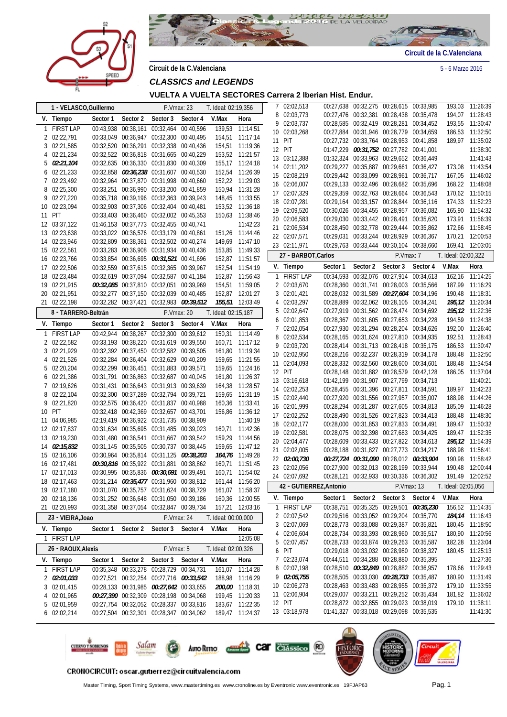



**Circuit de la C.Valenciana** 5 - 6 Marzo 2016

**VUELTA A VUELTA SECTORES Carrera 2 Iberian Hist. Endur.**

|    | 1 - VELASCO, Guillermo       |          |                                                                                    | P.Vmax: 23 |            | T. Ideal: 02:19,356 |                                    |   | 7 02:02,513             |           |          | 00:27,638 00:32,275 00:28,615 00:33,985 |          |                     | 193,03 11:26:39 |
|----|------------------------------|----------|------------------------------------------------------------------------------------|------------|------------|---------------------|------------------------------------|---|-------------------------|-----------|----------|-----------------------------------------|----------|---------------------|-----------------|
|    | V. Tiempo                    | Sector 1 | Sector 2                                                                           | Sector 3   | Sector 4   | V.Max               | Hora                               |   | 8 02:03,773             |           |          | 00:27,476 00:32,381 00:28,438 00:35,478 |          |                     | 194,07 11:28:43 |
|    | 1 FIRST LAP                  |          | 00:43,938 00:38,161 00:32,464 00:40,596                                            |            |            |                     | 139,53 11:14:51                    |   | 9 02:03,737             |           |          | 00:28,585 00:32,419 00:28,281 00:34,452 |          | 193,55              | 11:30:47        |
|    | 2 02:22,791                  |          | 00:33,049 00:36,947 00:32,300 00:40,495                                            |            |            |                     | 154,51 11:17:14                    |   | 10 02:03,268            |           |          | 00:27,884 00:31,946 00:28,779 00:34,659 |          | 186,53              | 11:32:50        |
|    | 3 02:21,585                  |          | 00:32,520 00:36,291 00:32,338 00:40,436                                            |            |            |                     | 154,51 11:19:36                    |   | 11 PIT                  |           |          | 00:27,732 00:33,764 00:28,953 00:41,858 |          |                     | 189,97 11:35:02 |
| 4  | 02:21,234                    |          | 00:32,522 00:36,818 00:31,665 00:40,229                                            |            |            |                     | 153,52 11:21:57                    |   | 12 PIT                  |           |          | 01:47,229 00:31,752 00:27,782 00:41,001 |          |                     | 11:38:30        |
| 5  | 02:21,104                    |          | 00:32,635 00:36,330 00:31,830 00:40,309                                            |            |            |                     | 155,17 11:24:18                    |   | 13 03:12,388            |           |          | 01:32,324 00:33,963 00:29,652 00:36,449 |          |                     | 11:41:43        |
|    | 6 02:21,233                  |          | 00:32,858 00:36,238 00:31,607 00:40,530                                            |            |            |                     | 152,54 11:26:39                    |   | 14 02:11,202            |           |          | 00:29,227 00:35,887 00:29,661 00:36,427 |          |                     | 173,08 11:43:54 |
|    | 7 02:23,492                  |          | 00:32,964 00:37,870 00:31,998 00:40,660                                            |            |            |                     | 152,22 11:29:03                    |   | 15 02:08,219            |           |          | 00:29,442 00:33,099 00:28,961 00:36,717 |          |                     | 167,05 11:46:02 |
| 8  | 02:25,300                    |          | 00:33,251 00:36,990 00:33,200 00:41,859                                            |            |            |                     | 150,94 11:31:28                    |   | 16 02:06,007            |           |          | 00:29,133 00:32,496 00:28,682 00:35,696 |          |                     | 168,22 11:48:08 |
| 9  | 02:27,220                    |          | 00:35,718 00:39,196 00:32,363 00:39,943                                            |            |            |                     | 148,45 11:33:55                    |   | 17 02:07,329            |           |          | 00:29,359 00:32,763 00:28,664 00:36,543 |          |                     | 170,62 11:50:15 |
| 10 | 02:23,094                    |          | 00:32,903 00:37,306 00:32,404 00:40,481                                            |            |            |                     | 153,52 11:36:18                    |   | 18 02:07,281            |           |          | 00:29,164 00:33,157 00:28,844 00:36,116 |          |                     | 174,33 11:52:23 |
| 11 | PIT                          |          | 00:33,403 00:36,460 00:32,002 00:45,353                                            |            |            |                     | 150,63 11:38:46                    |   | 19 02:09,520            |           |          | 00:30,026 00:34,455 00:28,957 00:36,082 |          |                     | 165,90 11:54:32 |
|    | 12 03:37,122                 |          | 01:46,153 00:37,773 00:32,455 00:40,741                                            |            |            |                     | 11:42:23                           |   | 20 02:06,583            |           |          | 00:29,030 00:33,442 00:28,491 00:35,620 |          |                     | 173,91 11:56:39 |
|    | 13 02:23,638                 |          | 00:33,022 00:36,576 00:33,179 00:40,861                                            |            |            |                     | 151,26 11:44:46                    |   | 21 02:06,534            |           |          | 00:28,450 00:32,778 00:29,444 00:35,862 |          | 172,66              | 11:58:45        |
|    | 14 02:23,946                 |          | 00:32,809 00:38,361 00:32,502 00:40,274                                            |            |            |                     | 149,69 11:47:10                    |   | 22 02:07,571            |           |          | 00:29,031 00:33,244 00:28,929 00:36,367 |          |                     | 170,21 12:00:53 |
| 15 | 02:22,561                    |          | 00:33,283 00:36,908 00:31,934 00:40,436                                            |            |            |                     | 153,85 11:49:33                    |   | 23 02:11,971            |           |          | 00:29,763 00:33,444 00:30,104 00:38,660 |          | 169,41              | 12:03:05        |
| 16 | 02:23,766                    |          | 00:33,854 00:36,695 00:31,521 00:41,696                                            |            |            |                     | 152,87 11:51:57                    |   | 27 - BARBOT, Carlos     |           |          | P.Vmax: 7                               |          | T. Ideal: 02:00,322 |                 |
|    | 17 02:22,506                 |          | 00:32,559 00:37,615 00:32,365 00:39,967                                            |            |            |                     | 152,54 11:54:19                    |   | V. Tiempo               | Sector 1  | Sector 2 | Sector 3                                | Sector 4 | V.Max               | Hora            |
| 18 | 02:23,484                    |          | 00:32,619 00:37,094 00:32,587 00:41,184                                            |            |            |                     | 152,87 11:56:43                    |   | 1 FIRST LAP             |           |          | 00:34,593 00:32,076 00:27,914 00:34,613 |          | 162,16              | 11:14:25        |
| 19 | 02:21,915                    |          | 00:32,085 00:37,810 00:32,051 00:39,969                                            |            |            |                     | 154,51 11:59:05                    |   | 2 02:03,670             |           |          | 00:28,360 00:31,741 00:28,003 00:35,566 |          |                     | 187,99 11:16:29 |
|    | 20 02:21,951                 |          | 00:32,277 00:37,150 00:32,039 00:40,485                                            |            |            |                     | 152,87 12:01:27                    |   | 3 02:01,421             |           |          | 00:28,032 00:31,589 00:27,604 00:34,196 |          |                     | 190,48 11:18:31 |
|    | 21 02:22,198                 |          | 00:32,282 00:37,421 00:32,983 00:39,512                                            |            |            |                     | 155,51 12:03:49                    |   | 4 02:03,297             |           |          | 00:28,889 00:32,062 00:28,105 00:34,241 |          |                     | 195,12 11:20:34 |
|    | 8 - TARRERO-Beltrán          |          |                                                                                    |            | P.Vmax: 20 | T. Ideal: 02:15,187 |                                    | 5 | 02:02,647               |           |          | 00:27,919 00:31,562 00:28,474 00:34,692 |          |                     | 195,12 11:22:36 |
|    |                              |          |                                                                                    |            |            |                     |                                    | 6 | 02:01,853               |           |          | 00:28,367 00:31,605 00:27,653 00:34,228 |          |                     | 194,59 11:24:38 |
|    | V. Tiempo                    | Sector 1 | Sector 2                                                                           | Sector 3   | Sector 4   | V.Max               | Hora                               |   | 02:02,054               |           |          | 00:27,930 00:31,294 00:28,204 00:34,626 |          |                     | 192,00 11:26:40 |
|    | 1 FIRST LAP                  |          | 00:42,944 00:38,267 00:32,300 00:39,612                                            |            |            | 150,31              | 11:14:49                           | 8 | 02:02,534               |           |          | 00:28,165 00:31,624 00:27,810 00:34,935 |          |                     | 192,51 11:28:43 |
|    | 2 02:22,582                  |          | 00:33,193 00:38,220 00:31,619 00:39,550                                            |            |            |                     | 160,71 11:17:12                    | 9 | 02:03,720               |           |          | 00:28,414 00:31,713 00:28,418 00:35,175 |          |                     | 186,53 11:30:47 |
|    | 3 02:21,929                  |          | 00:32,392 00:37,450 00:32,582 00:39,505                                            |            |            |                     | 161,80 11:19:34                    |   | 10 02:02,950            |           |          | 00:28,216 00:32,237 00:28,319 00:34,178 |          |                     | 188,48 11:32:50 |
|    | 4 02:21,526                  |          | 00:32,284 00:36,404 00:32,629 00:40,209                                            |            |            |                     | 159,65 11:21:55                    |   | 11 02:04,093            |           |          | 00:28,332 00:32,560 00:28,600 00:34,601 |          |                     | 188,48 11:34:54 |
|    | 5 02:20,204                  |          | 00:32,299 00:36,451 00:31,883 00:39,571                                            |            |            |                     | 159,65 11:24:16                    |   | 12 PIT                  |           |          | 00:28,148 00:31,882 00:28,579 00:42,128 |          |                     | 186,05 11:37:04 |
| 6  | 02:21,386                    |          | 00:31,791 00:36,863 00:32,687 00:40,045                                            |            |            |                     | 161,80 11:26:37                    |   | 13 03:16,618            |           |          | 01:42,199 00:31,907 00:27,799 00:34,713 |          |                     | 11:40:21        |
|    | 7 02:19,626                  |          | 00:31,431 00:36,643 00:31,913 00:39,639                                            |            |            |                     | 164,38 11:28:57                    |   | 14 02:02,253            |           |          | 00:28,455 00:31,396 00:27,811 00:34,591 |          |                     | 189,97 11:42:23 |
| 8  | 02:22,104                    |          | 00:32,300 00:37,289 00:32,794 00:39,721                                            |            |            |                     | 159,65 11:31:19                    |   | 15 02:02,440            |           |          | 00:27,920 00:31,556 00:27,957 00:35,007 |          |                     | 188,98 11:44:26 |
| 9  | 02:21,820                    |          | 00:32,575 00:36,420 00:31,837 00:40,988                                            |            |            |                     | 160,36 11:33:41                    |   | 16 02:01,999            |           |          | 00:28,294 00:31,287 00:27,605 00:34,813 |          | 185,09              | 11:46:28        |
| 10 | PIT                          |          | 00:32,418 00:42,369 00:32,657 00:43,701                                            |            |            |                     | 156,86 11:36:12                    |   | 17 02:02,252            |           |          | 00:28,490 00:31,526 00:27,823 00:34,413 |          |                     | 188,48 11:48:30 |
| 11 | 04:06,985                    |          | 02:19,419 00:36,922 00:31,735 00:38,909                                            |            |            |                     | 11:40:19                           |   | 18 02:02,177            |           |          | 00:28,000 00:31,853 00:27,833 00:34,491 |          |                     | 189,47 11:50:32 |
|    | 12 02:17,837                 |          | 00:31,634 00:35,695 00:31,485 00:39,023                                            |            |            |                     | 160,71 11:42:36                    |   | 19 02:02,581            |           |          | 00:28,075 00:32,398 00:27,683 00:34,425 |          |                     | 189,47 11:52:35 |
|    | 13 02:19,230                 |          | 00:31,480 00:36,541 00:31,667 00:39,542                                            |            |            |                     | 159,29 11:44:56                    |   | 20 02:04,477            |           |          | 00:28,609 00:33,433 00:27,822 00:34,613 |          |                     | 195,12 11:54:39 |
|    | 14 02:15,832                 |          | 00:31,145 00:35,505 00:30,737 00:38,445                                            |            |            |                     | 159,65 11:47:12                    |   | 21 02:02,005            |           |          | 00:28,188 00:31,827 00:27,773 00:34,217 |          | 188,98              | 11:56:41        |
|    | 15 02:16,106                 |          | 00:30,964 00:35,814 00:31,125 00:38,203                                            |            |            |                     | 164,76 11:49:28                    |   | 22 02:00,730            |           |          | 00:27,724 00:31,090 00:28,012 00:33,904 |          | 190,98              | 11:58:42        |
|    | 16 02:17,481                 |          | 00:30,816 00:35,922 00:31,881 00:38,862                                            |            |            |                     | 160,71 11:51:45                    |   | 23 02:02,056            |           |          | 00:27,900 00:32,013 00:28,199 00:33,944 |          |                     | 190,48 12:00:44 |
|    | 17 02:17,013                 |          | 00:30,995 00:35,836 00:30,691 00:39,491                                            |            |            |                     | 160,71 11:54:02                    |   | 24 02:07,692            |           |          | 00:28,121 00:32,933 00:30,336 00:36,302 |          |                     | 191,49 12:02:52 |
|    | 18 02:17,463<br>19 02:17,180 |          | 00:31,214 00:35,477 00:31,960 00:38,812                                            |            |            |                     | 161,44 11:56:20                    |   | 42 - GUTIERREZ, Antonio |           |          | P.Vmax: 13                              |          | T. Ideal: 02:05,056 |                 |
|    | 02:18,136                    |          | 00:31,070 00:35,757 00:31,624 00:38,729<br>00:31,252 00:36,648 00:31,050 00:39,186 |            |            |                     | 161,07 11:58:37                    |   | V. Tiempo               | Sector 1  | Sector 2 | Sector 3                                | Sector 4 | V.Max               | Hora            |
| 20 | 21 02:20,993                 |          | 00:31,358 00:37,054 00:32,847 00:39,734                                            |            |            |                     | 160,36 12:00:55<br>157,21 12:03:16 |   | 1 FIRST LAP             | 00:38,751 |          | 00:35,325 00:29,501 00:35,230           |          |                     | 156,52 11:14:35 |
|    |                              |          |                                                                                    |            |            |                     |                                    |   | 2 02:07,542             |           |          | 00:29,516 00:33,052 00:29,204 00:35,770 |          |                     | 184,14 11:16:43 |
|    | 23 - VIEIRA, Joao            |          |                                                                                    | P.Vmax: 24 |            | T. Ideal: 00:00,000 |                                    | 3 | 02:07,069               |           |          | 00:28,773 00:33,088 00:29,387 00:35,821 |          |                     | 180,45 11:18:50 |
|    | V. Tiempo                    | Sector 1 | Sector 2                                                                           | Sector 3   | Sector 4   | V.Max               | Hora                               | 4 | 02:06,604               |           |          | 00:28,734 00:33,393 00:28,960 00:35,517 |          |                     | 180,90 11:20:56 |
|    | 1 FIRST LAP                  |          |                                                                                    |            |            |                     | 12:05:08                           | 5 | 02:07,457               |           |          | 00:28,733 00:33,874 00:29,263 00:35,587 |          |                     | 182,28 11:23:04 |
|    | 26 - RAOUX, Alexis           |          |                                                                                    | P.Vmax: 5  |            | T. Ideal: 02:00,326 |                                    | 6 | PIT                     |           |          | 00:29,018 00:33,032 00:28,980 00:38,327 |          |                     | 180,45 11:25:13 |
|    | V. Tiempo                    | Sector 1 | Sector 2                                                                           | Sector 3   | Sector 4   | V.Max               | Hora                               | 7 | 02:23,074               |           |          | 00:44,511 00:34,288 00:28,880 00:35,395 |          |                     | 11:27:36        |
|    | 1 FIRST LAP                  |          | 00:35,348 00:33,278 00:28,729 00:34,731                                            |            |            | 161,07              | 11:14:28                           | 8 | 02:07,198               |           |          | 00:28,510 00:32,849 00:28,882 00:36,957 |          |                     | 178,66 11:29:43 |
|    | 2 02:01,033                  |          | 00:27,521 00:32,254 00:27,716 00:33,542                                            |            |            |                     | 188,98 11:16:29                    | 9 | 02:05,755               |           |          | 00:28,505 00:33,030 00:28,733 00:35,487 |          |                     | 180,90 11:31:49 |
| 3  | 02:01,415                    |          | 00:28,133 00:31,985 00:27,642 00:33,655                                            |            |            |                     | 200,00 11:18:31                    |   | 10 02:06,273            |           |          | 00:28,463 00:33,483 00:28,955 00:35,372 |          |                     | 179,10 11:33:55 |
| 4  | 02:01,965                    |          | 00:27,390 00:32,309 00:28,198 00:34,068                                            |            |            |                     | 199,45 11:20:33                    |   | 11 02:06,904            |           |          | 00:29,007 00:33,211 00:29,252 00:35,434 |          |                     | 181,82 11:36:02 |
| 5  | 02:01,959                    |          | 00:27,754 00:32,052 00:28,337 00:33,816                                            |            |            |                     | 183,67 11:22:35                    |   | 12 PIT                  |           |          | 00:28,872 00:32,855 00:29,023 00:38,019 |          |                     | 179,10 11:38:11 |
|    | 6 02:02,214                  |          | 00:27,504 00:32,301 00:28,347 00:34,062                                            |            |            |                     | 189,47 11:24:37                    |   | 13 03:18,978            |           |          | 01:41,327 00:33,018 00:29,098 00:35,535 |          |                     | 11:41:30        |
|    |                              |          |                                                                                    |            |            |                     |                                    |   |                         |           |          |                                         |          |                     |                 |





CRONOCIRCUIT: oscar.gutierrez@circuitvalencia.com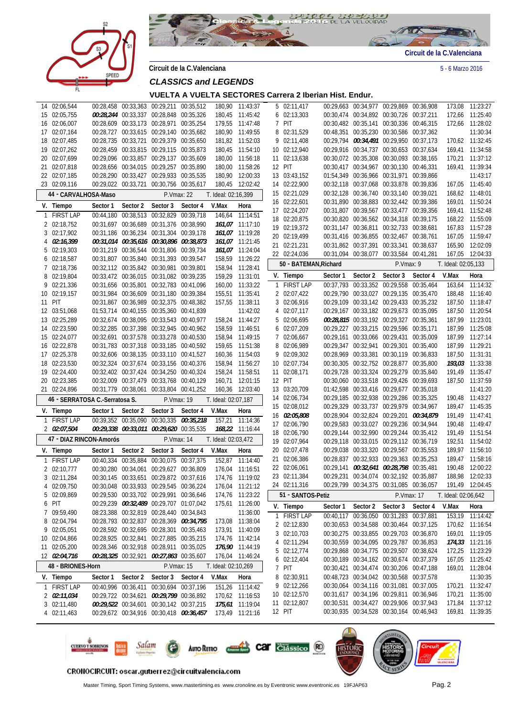



**Circuit de la C.Valenciana** 5 - 6 Marzo 2016

*CLASSICS and LEGENDS* 

**VUELTA A VUELTA SECTORES Carrera 2 Iberian Hist. Endur.**

| 14 02:06,544                   |          |          | 00:28,458 00:33,363 00:29,211 00:35,512                                            |          |                     | 180,90 11:43:37                    |   | 5 02:11,417            |                                         |          | 00:29,663 00:34,977 00:29,869 00:36,908                                            |           |                     | 173,08 11:23:27                    |
|--------------------------------|----------|----------|------------------------------------------------------------------------------------|----------|---------------------|------------------------------------|---|------------------------|-----------------------------------------|----------|------------------------------------------------------------------------------------|-----------|---------------------|------------------------------------|
| 15 02:05,755                   |          |          | 00:28,244 00:33,337 00:28,848 00:35,326                                            |          |                     | 180,45 11:45:42                    |   | 6 02:13,303            |                                         |          | 00:30,474 00:34,892 00:30,726 00:37,211                                            |           |                     | 172,66 11:25:40                    |
| 16 02:06,007                   |          |          | 00:28,609 00:33,173 00:28,971 00:35,254                                            |          |                     | 179,55 11:47:48                    |   | 7 PIT                  |                                         |          | 00:30,482 00:35,141 00:30,336 00:46,315                                            |           |                     | 172,66 11:28:02                    |
| 17 02:07,164                   |          |          | 00:28,727 00:33,615 00:29,140 00:35,682                                            |          |                     | 180,90 11:49:55                    |   | 8 02:31,529            |                                         |          | 00:48,351 00:35,230 00:30,586 00:37,362                                            |           |                     | 11:30:34                           |
| 18 02:07,485                   |          |          | 00:28,735 00:33,721 00:29,379 00:35,650                                            |          |                     | 181,82 11:52:03                    |   | 9 02:11,408            |                                         |          | 00:29,794 00:34,491 00:29,950 00:37,173                                            |           |                     | 170,62 11:32:45                    |
| 19 02:07,262                   |          |          | 00:28,459 00:33,815 00:29,115 00:35,873                                            |          |                     | 180,45 11:54:10                    |   | 10 02:12,940           |                                         |          | 00:29,916 00:34,737 00:30,653 00:37,634                                            |           |                     | 169,41 11:34:58                    |
| 20 02:07.699                   |          |          | 00:29,096 00:33,857 00:29,137 00:35,609                                            |          |                     | 180,00 11:56:18                    |   | 11 02:13,638           |                                         |          | 00:30,072 00:35,308 00:30,093 00:38,165                                            |           |                     | 170,21 11:37:12                    |
| 21 02:07,818                   |          |          | 00:28,656 00:34,015 00:29,257 00:35,890                                            |          |                     | 180,00 11:58:26                    |   | 12 PIT                 |                                         |          | 00:30,417 00:34,967 00:30,130 00:46,331                                            |           |                     | 169,41 11:39:34                    |
| 22 02:07,185                   |          |          | 00:28,290 00:33,427 00:29,933 00:35,535                                            |          |                     | 180,90 12:00:33                    |   | 13 03:43,152           |                                         |          | 01:54,349 00:36,966 00:31,971 00:39,866                                            |           |                     | 11:43:17                           |
| 23 02:09,116                   |          |          | 00:29,022 00:33,721 00:30,756 00:35,617                                            |          |                     | 180,45 12:02:42                    |   | 14 02:22,900           |                                         |          | 00:32,118 00:37,068 00:33,878 00:39,836                                            |           |                     | 167,05 11:45:40                    |
|                                |          |          |                                                                                    |          |                     |                                    |   | 15 02:21,029           |                                         |          | 00:32,128 00:36,740 00:33,140 00:39,021                                            |           |                     | 168,62 11:48:01                    |
| 44 - CARVALHOSA-Maso           |          |          | P.Vmax: 22                                                                         |          | T. Ideal: 02:16,399 |                                    |   | 16 02:22,601           |                                         |          | 00:31,890 00:38,883 00:32,442 00:39,386                                            |           |                     | 169,01 11:50:24                    |
| V. Tiempo                      | Sector 1 | Sector 2 | Sector 3                                                                           | Sector 4 | V.Max               | Hora                               |   | 17 02:24,207           |                                         |          | 00:31,807 00:39,567 00:33,477 00:39,356                                            |           |                     | 169,41 11:52:48                    |
| 1 FIRST LAP                    |          |          | 00:44,180 00:38,513 00:32,829 00:39,718                                            |          |                     | 146,64 11:14:51                    |   | 18 02:20,875           |                                         |          | 00:30,820 00:36,562 00:34,318 00:39,175                                            |           |                     | 168,22 11:55:09                    |
| 2 02:18,752                    |          |          | 00:31,697 00:36,689 00:31,376 00:38,990                                            |          |                     | 161,07 11:17:10                    |   | 19 02:19,372           |                                         |          | 00:31,147 00:36,811 00:32,733 00:38,681                                            |           | 167,83              | 11:57:28                           |
| 3 02:17,902                    |          |          | 00:31,186 00:36,234 00:31,304 00:39,178                                            |          |                     | 161,07 11:19:28                    |   | 20 02:19,499           |                                         |          | 00:31,416 00:36,855 00:32,467 00:38,761                                            |           |                     | 167,05 11:59:47                    |
| 4 02:16,399                    |          |          | 00:31,014 00:35,616 00:30,896 00:38,873                                            |          |                     | 161,07 11:21:45                    |   | 21 02:21,231           |                                         |          | 00:31,862 00:37,391 00:33,341 00:38,637                                            |           | 165,90              | 12:02:09                           |
| 5 02:19,303                    |          |          | 00:31,219 00:36,544 00:31,806 00:39,734                                            |          |                     | 161,07 11:24:04                    |   |                        |                                         |          | 00:31,094 00:38,077 00:33,584 00:41,281                                            |           |                     |                                    |
| 6 02:18,587                    |          |          | 00:31,807 00:35,840 00:31,393 00:39,547                                            |          |                     | 158,59 11:26:22                    |   | 22 02:24,036           |                                         |          |                                                                                    |           | 167,05              | 12:04:33                           |
| 7 02:18,736                    |          |          | 00:32,112 00:35,842 00:30,981 00:39,801                                            |          |                     | 158,94 11:28:41                    |   | 50 - BATEMAN, Richard  |                                         |          | P.Vmax: 9                                                                          |           | T. Ideal: 02:05,133 |                                    |
| 8 02:19,804                    |          |          | 00:33,472 00:36,015 00:31,082 00:39,235                                            |          |                     | 159,29 11:31:01                    |   | V. Tiempo              | Sector 1                                | Sector 2 | Sector 3                                                                           | Sector 4  | V.Max               | Hora                               |
| 9 02:21,336                    |          |          | 00:31,656 00:35,801 00:32,783 00:41,096                                            |          |                     | 160,00 11:33:22                    |   | 1 FIRST LAP            | 00:37,793                               |          | 00:33,352 00:29,558                                                                | 00:35,464 | 163,64              | 11:14:32                           |
| 10 02:19.157                   |          |          | 00:31,984 00:36,609 00:31,180 00:39,384                                            |          |                     | 155,51 11:35:41                    |   | 2 02:07,422            |                                         |          | 00:29,790 00:33,027 00:29,135 00:35,470                                            |           |                     | 188,48 11:16:40                    |
| 11 PIT                         |          |          | 00:31,867 00:36,989 00:32,375 00:48,382                                            |          |                     | 157,55 11:38:11                    |   | 3 02:06,916            |                                         |          | 00:29,109 00:33,142 00:29,433 00:35,232                                            |           |                     | 187,50 11:18:47                    |
| 12 03:51,068                   |          |          | 01:53,714 00:40,155 00:35,360 00:41,839                                            |          |                     | 11:42:02                           | 4 | 02:07,117              |                                         |          | 00:29,167 00:33,182 00:29,673 00:35,095                                            |           |                     | 187,50 11:20:54                    |
| 13 02:25,289                   |          |          | 00:32,674 00:38,095 00:33,543 00:40,977                                            |          |                     | 158,24 11:44:27                    |   | 5 02:06,695            |                                         |          | 00:28,815 00:33,192 00:29,327 00:35,361                                            |           |                     | 187,99 11:23:01                    |
| 14 02:23,590                   |          |          | 00:32,285 00:37,398 00:32,945 00:40,962                                            |          |                     | 158,59 11:46:51                    |   | 6 02:07,209            |                                         |          | 00:29,227 00:33,215 00:29,596 00:35,171                                            |           |                     | 187,99 11:25:08                    |
| 15 02:24,077                   |          |          | 00:32,691 00:37,578 00:33,278 00:40,530                                            |          |                     | 158,94 11:49:15                    |   | 7 02:06,667            |                                         |          | 00:29,161 00:33,066 00:29,431 00:35,009                                            |           |                     | 187,99 11:27:14                    |
| 16 02:22,878                   |          |          | 00:31,783 00:37,318 00:33,185 00:40,592                                            |          |                     | 159,65 11:51:38                    |   | 8 02:06,989            |                                         |          | 00:29,347 00:32,941 00:29,301 00:35,400                                            |           |                     | 187,99 11:29:21                    |
| 17 02:25,378                   |          |          | 00:32,606 00:38,135 00:33,110 00:41,527                                            |          |                     | 160,36 11:54:03                    |   | 9 02:09,302            |                                         |          | 00:28,969 00:33,381 00:30,119 00:36,833                                            |           |                     | 187,50 11:31:31                    |
| 18 02:23,530                   |          |          | 00:32,324 00:37,674 00:33,156 00:40,376                                            |          |                     | 158,94 11:56:27                    |   | 10 02:07,734           |                                         |          | 00:30,305 00:32,752 00:28,877 00:35,800                                            |           |                     | 193,03 11:33:38                    |
| 19 02:24,400                   |          |          | 00:32,402 00:37,424 00:34,250 00:40,324                                            |          | 158,24              | 11:58:51                           |   | 11 02:08,171           |                                         |          | 00:29,728 00:33,324 00:29,279 00:35,840                                            |           |                     | 191,49 11:35:47                    |
| 20 02:23,385                   |          |          | 00:32,009 00:37,479 00:33,768 00:40,129                                            |          | 160,71              | 12:01:15                           |   | 12 PIT                 |                                         |          | 00:30,060 00:33,518 00:29,426 00:39,693                                            |           |                     | 187,50 11:37:59                    |
| 21 02:24,896                   |          |          | 00:31,779 00:38,061 00:33,804 00:41,252                                            |          | 160,36              | 12:03:40                           |   | 13 03:20,709           |                                         |          | 01:42,598 00:33,416 00:29,677 00:35,018                                            |           |                     | 11:41:20                           |
|                                |          |          |                                                                                    |          |                     |                                    |   | 14 02:06,734           |                                         |          | 00:29,185 00:32,938 00:29,286 00:35,325                                            |           |                     | 190,48 11:43:27                    |
| 46 - SERRATOSA C.-Serratosa S. |          |          | P.Vmax: 19                                                                         |          | T. Ideal: 02:07,187 |                                    |   | 15 02:08,012           |                                         |          | 00:29,329 00:33,737 00:29,979 00:34,967                                            |           |                     | 189,47 11:45:35                    |
| V. Tiempo                      | Sector 1 | Sector 2 | Sector 3                                                                           | Sector 4 | V.Max               | Hora                               |   |                        |                                         |          |                                                                                    |           |                     |                                    |
|                                |          |          |                                                                                    |          |                     |                                    |   |                        |                                         |          |                                                                                    |           |                     |                                    |
| 1 FIRST LAP                    |          |          | 00:39,352 00:35,090 00:30,335 00:35,218                                            |          | 157,21              | 11:14:36                           |   | 16 02:05,808           | 00:28,904 00:32,824 00:29,201 00:34,879 |          |                                                                                    |           |                     | 191,49 11:47:41                    |
| 2 02:07,504                    |          |          | 00:29,338 00:33,011 00:29,620 00:35,535                                            |          |                     | 168,22 11:16:44                    |   | 17 02:06,790           |                                         |          | 00:29,583 00:33,027 00:29,236 00:34,944                                            |           |                     | 190,48 11:49:47                    |
| 47 - DIAZ RINCON-Amorós        |          |          |                                                                                    |          |                     |                                    |   | 18 02:06,790           |                                         |          | 00:29,144 00:32,990 00:29,244 00:35,412                                            |           |                     | 191,49 11:51:54                    |
|                                |          |          | P.Vmax: 14                                                                         |          | T. Ideal: 02:03,472 |                                    |   | 19 02:07,964           |                                         |          | 00:29,118 00:33,015 00:29,112 00:36,719                                            |           |                     | 192,51 11:54:02                    |
| V. Tiempo                      | Sector 1 | Sector 2 | Sector 3                                                                           | Sector 4 | V.Max               | Hora                               |   | 20 02:07,478           |                                         |          | 00:29,038 00:33,320 00:29,567 00:35,553                                            |           |                     | 189,97 11:56:10                    |
| 1 FIRST LAP                    |          |          | 00:40,334 00:35,884 00:30,075 00:37,375                                            |          | 152,87              | 11:14:40                           |   | 21 02:06,386           |                                         |          | 00:28,837 00:32,933 00:29,363 00:35,253                                            |           |                     | 189.47 11:58:16                    |
| 2 02:10,777                    |          |          | 00:30,280 00:34,061 00:29,627 00:36,809                                            |          | 176,04              | 11:16:51                           |   | 22 02:06,061           |                                         |          | 00:29,141 00:32,641 00:28,798 00:35,481                                            |           |                     | 190,48 12:00:22                    |
| 3 02:11,284                    |          |          | 00:30,145 00:33,651 00:29,872 00:37,616                                            |          |                     | 174,76 11:19:02                    |   | 23 02:11,384           |                                         |          | 00:29,231 00:34,074 00:32,192 00:35,887                                            |           |                     | 188,98 12:02:33                    |
| 4 02:09,750                    |          |          | 00:30,048 00:33,933 00:29,545 00:36,224                                            |          |                     | 176,04 11:21:12                    |   | 24 02:11,316           |                                         |          | 00:29,799 00:34,375 00:31,085 00:36,057                                            |           |                     | 191,49 12:04:45                    |
| 5 02:09,869                    |          |          | 00:29,530 00:33,702 00:29,991 00:36,646                                            |          |                     | 174,76 11:23:22                    |   | 51 - SANTOS-Petiz      |                                         |          | P.Vmax: 17                                                                         |           | T. Ideal: 02:06,642 |                                    |
| 6 PIT                          |          |          | 00:29,239 00:32,489 00:29,707 01:07,042                                            |          | 175.61              | 11:26:00                           |   | V. Tiempo              | Sector 1                                | Sector 2 | Sector 3                                                                           | Sector 4  | V.Max               | Hora                               |
| 7 09:59,490                    |          |          | 08:23,388 00:32,819 00:28,440 00:34,843                                            |          |                     | 11:36:00                           |   |                        |                                         |          | 00:40,117 00:36,050 00:31,283 00:37,881                                            |           |                     | 153,19 11:14:42                    |
| 8 02:04,794                    |          |          | 00:28,793 00:32,837 00:28,369 00:34,795                                            |          |                     | 173,08 11:38:04                    |   | 1 FIRST LAP            |                                         |          | 00:30,653 00:34,588 00:30,464 00:37,125                                            |           |                     | 170,62 11:16:54                    |
| 9 02:05,051                    |          |          | 00:28,592 00:32,695 00:28,301 00:35,463                                            |          |                     | 173,91 11:40:09                    |   | 2 02:12,830            |                                         |          |                                                                                    |           |                     |                                    |
| 10 02:04,866                   |          |          | 00:28,925 00:32,841 00:27,885 00:35,215                                            |          |                     | 174,76 11:42:14                    |   | 3 02:10,703            |                                         |          | 00:30,275 00:33,855 00:29,703 00:36,870                                            |           |                     | 169,01 11:19:05                    |
| 11 02:05,200                   |          |          | 00:28,346 00:32,918 00:28,911 00:35,025                                            |          |                     | 176,90 11:44:19                    |   | 4 02:11,294            |                                         |          | 00:30,559 00:34,095 00:29,787 00:36,853                                            |           |                     | 174,33 11:21:16                    |
| 12 02:04,716                   |          |          | 00:28,325 00:32,921 00:27,863 00:35,607                                            |          |                     | 176,04 11:46:24                    |   | 5 02:12,774            |                                         |          | 00:29,868 00:34,775 00:29,507 00:38,624                                            |           |                     | 172,25 11:23:29                    |
| 48 - BRIONES-Horn              |          |          | P.Vmax: 15                                                                         |          | T. Ideal: 02:10,269 |                                    |   | 6 02:12,404            |                                         |          | 00:30,189 00:34,162 00:30,674 00:37,379                                            |           |                     | 167,05 11:25:42                    |
|                                |          |          |                                                                                    |          |                     |                                    |   | 7 PIT                  |                                         |          | 00:30,421 00:34,474 00:30,206 00:47,188                                            |           |                     | 169,01 11:28:04                    |
| V. Tiempo                      | Sector 1 | Sector 2 | Sector 3                                                                           | Sector 4 | V.Max               | Hora                               | 8 | 02:30,911              |                                         |          | 00:48,723 00:34,042 00:30,568 00:37,578                                            |           |                     | 11:30:35                           |
| 1 FIRST LAP                    |          |          | 00:40,996 00:36,411 00:30,694 00:37,196                                            |          |                     | 151,26 11:14:42                    |   | 9 02:12,266            |                                         |          | 00:30,064 00:34,116 00:31,081 00:37,005                                            |           |                     | 170,21 11:32:47                    |
| 2 02:11,034                    |          |          | 00:29,722 00:34,621 00:29,799 00:36,892                                            |          |                     | 170,62 11:16:53                    |   | 10 02:12,570           |                                         |          | 00:31,617 00:34,196 00:29,811 00:36,946                                            |           |                     | 170,21 11:35:00                    |
| 3 02:11,480<br>4 02:11,463     |          |          | 00:29,522 00:34,601 00:30,142 00:37,215<br>00:29,672 00:34,916 00:30,418 00:36,457 |          |                     | 175,61 11:19:04<br>173,49 11:21:16 |   | 11 02:12,807<br>12 PIT |                                         |          | 00:30,531 00:34,427 00:29,906 00:37,943<br>00:30,935 00:34,528 00:30,164 00:46,943 |           |                     | 171,84 11:37:12<br>169,81 11:39:35 |





CRONOCIRCUIT: oscar.gutierrez@circuitvalencia.com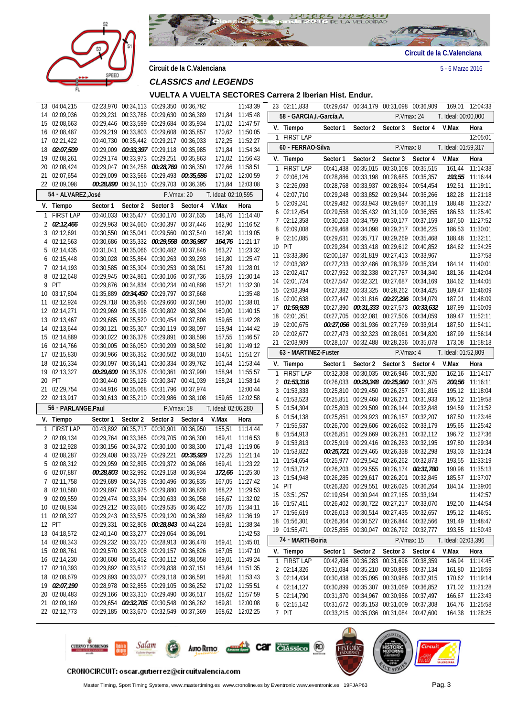



**Circuit de la C.Valenciana** 5 - 6 Marzo 2016

**VUELTA A VUELTA SECTORES Carrera 2 Iberian Hist. Endur.**

| 13           | 04:04,215                    |          |                     | 02:23,970 00:34,113 00:29,350 00:36,782                                            |                                         |                     | 11:43:39                           |   | 23 02:11,833               |           |          | 00:29,647 00:34,179 00:31,098 00:36,909                                            |            | 169,01              | 12:04:33                           |
|--------------|------------------------------|----------|---------------------|------------------------------------------------------------------------------------|-----------------------------------------|---------------------|------------------------------------|---|----------------------------|-----------|----------|------------------------------------------------------------------------------------|------------|---------------------|------------------------------------|
|              | 14 02:09,036                 |          |                     | 00:29,231 00:33,786 00:29,630 00:36,389                                            |                                         |                     | 171,84 11:45:48                    |   | 58 - GARCIA, I.-García, A. |           |          |                                                                                    | P.Vmax: 24 | T. Ideal: 00:00.000 |                                    |
|              | 15 02:08,663                 |          |                     | 00:29,446 00:33,599 00:29,684 00:35,934                                            |                                         |                     | 171,02 11:47:57                    |   | V. Tiempo                  | Sector 1  | Sector 2 | Sector 3                                                                           |            | V.Max               | Hora                               |
|              | 16 02:08,487                 |          |                     | 00:29,219 00:33,803 00:29,608 00:35,857                                            |                                         |                     | 170,62 11:50:05                    |   |                            |           |          |                                                                                    | Sector 4   |                     |                                    |
| 17           | 02:21,422                    |          |                     | 00:40,730 00:35,442 00:29,217 00:36,033                                            |                                         | 172,25              | 11:52:27                           |   | 1 FIRST LAP                |           |          |                                                                                    |            |                     | 12:05:01                           |
|              | 18 02:07,509                 |          |                     | 00:29,009 00:33,397 00:29,118 00:35,985                                            |                                         |                     | 171,84 11:54:34                    |   | 60 - FERRAO-Silva          |           |          | P.Vmax: 8                                                                          |            | T. Ideal: 01:59,317 |                                    |
|              | 19 02:08,261                 |          |                     | 00:29,174 00:33,973 00:29,251 00:35,863                                            |                                         |                     | 171,02 11:56:43                    |   | V. Tiempo                  | Sector 1  | Sector 2 | Sector 3                                                                           | Sector 4   | V.Max               | Hora                               |
|              | 20 02:08,424                 |          |                     | 00:29,047 00:34,258 00:28,769 00:36,350                                            |                                         |                     | 172,66 11:58:51                    |   | 1 FIRST LAP                |           |          | 00:41,438 00:35,015 00:30,108 00:35,515                                            |            | 161,44              | 11:14:38                           |
|              | 21 02:07,654                 |          |                     | 00:29,009 00:33,566 00:29,493 00:35,586                                            |                                         |                     | 171,02 12:00:59                    |   | 2 02:06,126                |           |          | 00:28,886 00:33,198 00:28,685 00:35,357                                            |            |                     | 193,55 11:16:44                    |
|              | 22 02:09,098                 |          |                     | 00:28,890 00:34,110 00:29,703 00:36,395                                            |                                         |                     | 171,84 12:03:08                    | 3 | 02:26,093                  |           |          | 00:28,768 00:33,937 00:28,934 00:54,454                                            |            | 192,51              | 11:19:11                           |
|              | 54 - ALVAREZ, José           |          |                     | P.Vmax: 20                                                                         |                                         | T. Ideal: 02:10,595 |                                    | 4 | 02:07,710                  |           |          | 00:29,248 00:33,852 00:29,344 00:35,266                                            |            | 182,28              | 11:21:18                           |
|              | V. Tiempo                    | Sector 1 | Sector 2            | Sector 3                                                                           | Sector 4                                | V.Max               | Hora                               | 5 | 02:09,241                  |           |          | 00:29,482 00:33,943 00:29,697 00:36,119                                            |            | 188,48              | 11:23:27                           |
|              | 1 FIRST LAP                  |          |                     | 00:40,033 00:35,477 00:30,170 00:37,635                                            |                                         | 148.76              | 11:14:40                           |   | 6 02:12,454                |           |          | 00:29,558 00:35,432 00:31,109 00:36,355                                            |            | 186,53              | 11:25:40                           |
|              | $2 \quad 02:12,466$          |          |                     | 00:29,963 00:34,660 00:30,397 00:37,446                                            |                                         |                     | 162,90 11:16:52                    |   | 7 02:12,358                |           |          | 00:30,263 00:34,759 00:30,177 00:37,159                                            |            | 187,50              | 11:27:52                           |
|              | 3 02:12,691                  |          |                     | 00:30,550 00:35,041 00:29,560 00:37,540                                            |                                         |                     | 162,90 11:19:05                    |   | 8 02:09,008                |           |          | 00:29,468 00:34,098 00:29,217 00:36,225                                            |            |                     | 186,53 11:30:01                    |
|              | 4 02:12,563                  |          |                     | 00:30,686 00:35,332 00:29,558 00:36,987                                            |                                         |                     | 164,76 11:21:17                    | 9 | 02:10,085                  |           |          | 00:29,631 00:35,717 00:29,269 00:35,468                                            |            | 188,48              | 11:32:11                           |
|              | 5 02:14,435                  |          |                     | 00:31,041 00:35,066 00:30,482 00:37,846                                            |                                         |                     | 163,27 11:23:32                    |   | 10 PIT                     |           |          | 00:29,284 00:33,418 00:29,612 00:40,852                                            |            |                     | 184,62 11:34:25                    |
|              | 6 02:15,448                  |          |                     | 00:30,028 00:35,864 00:30,263 00:39,293                                            |                                         |                     | 161,80 11:25:47                    |   | 11 03:33,386               |           |          | 02:00,187 00:31,819 00:27,413 00:33,967                                            |            |                     | 11:37:58                           |
|              | 7 02:14,193                  |          |                     | 00:30,585 00:35,304 00:30,253 00:38,051                                            |                                         |                     | 157,89 11:28:01                    |   | 12 02:03,382               |           |          | 00:27,233 00:32,486 00:28,329 00:35,334                                            |            |                     | 184,14 11:40:01                    |
|              | 8 02:12,648                  |          |                     | 00:29,945 00:34,861 00:30,106 00:37,736                                            |                                         |                     | 158,59 11:30:14                    |   | 13 02:02,417               |           |          | 00:27,952 00:32,338 00:27,787 00:34,340                                            |            |                     | 181,36 11:42:04                    |
| 9            | PIT                          |          |                     | 00:29,876 00:34,834 00:30,234 00:40,898                                            |                                         |                     | 157,21 11:32:30                    |   | 14 02:01,724               |           |          | 00:27,547 00:32,321 00:27,687 00:34,169                                            |            |                     | 184,62 11:44:05                    |
| 10           | 03:17,804                    |          |                     | 01:35,889 00:34,450 00:29,797 00:37,668                                            |                                         |                     | 11:35:48                           |   | 15 02:03,394               |           |          | 00:27,382 00:33,325 00:28,262 00:34,425                                            |            |                     | 189,47 11:46:09                    |
|              | 11 02:12,924                 |          |                     | 00:29,718 00:35,956 00:29,660 00:37,590                                            |                                         |                     | 160,00 11:38:01                    |   | 16 02:00,638               |           |          | 00:27,447 00:31,816 00:27,296 00:34,079                                            |            | 187,01              | 11:48:09                           |
|              | 12 02:14,271                 |          |                     | 00:29,969 00:35,196 00:30,802 00:38,304                                            |                                         |                     | 160,00 11:40:15                    |   | 17 01:59,928               |           |          | 00:27,390 00:31,333 00:27,573 00:33,632                                            |            | 187,99              | 11:50:09                           |
|              | 13 02:13,467                 |          |                     | 00:29,685 00:35,520 00:30,454 00:37,808                                            |                                         |                     | 159,65 11:42:28                    |   | 18 02:01,351               |           |          | 00:27,705 00:32,081 00:27,506 00:34,059                                            |            |                     | 189,47 11:52:11                    |
| 14           | 02:13,644                    |          |                     | 00:30,121 00:35,307 00:30,119 00:38,097                                            |                                         |                     | 158,94 11:44:42                    |   | 19 02:00,675               |           |          | 00:27,056 00:31,936 00:27,769 00:33,914                                            |            | 187,50              | 11:54:11                           |
|              | 15 02:14,889                 |          |                     | 00:30,022 00:36,378 00:29,891 00:38,598                                            |                                         |                     | 157,55 11:46:57                    |   | 20 02:02,677               |           |          | 00:27,473 00:32,323 00:28,061 00:34,820                                            |            | 187,99              | 11:56:14                           |
|              | 16 02:14,766                 |          |                     | 00:30,005 00:36,050 00:30,209 00:38,502                                            |                                         |                     | 161,80 11:49:12                    |   | 21 02:03,909               |           |          | 00:28,107 00:32,488 00:28,236 00:35,078                                            |            | 173,08              | 11:58:18                           |
|              | 17 02:15,830                 |          |                     | 00:30,966 00:36,352 00:30,502 00:38,010                                            |                                         |                     | 154,51 11:51:27                    |   | 63 - MARTINEZ-Fuster       |           |          | P.Vmax: 4                                                                          |            | T. Ideal: 01:52,809 |                                    |
|              | 18 02:16,334                 |          |                     | 00:30,097 00:36,141 00:30,334 00:39,762                                            |                                         |                     | 161,44 11:53:44                    |   | V. Tiempo                  | Sector 1  | Sector 2 | Sector 3                                                                           | Sector 4   | V.Max               | Hora                               |
|              | 19 02:13,327                 |          |                     | 00:29,600 00:35,376 00:30,361 00:37,990                                            |                                         |                     | 158,94 11:55:57                    |   | 1 FIRST LAP                | 00:32,308 |          | 00:30,035 00:26,946 00:31,920                                                      |            | 162,16              | 11:14:17                           |
|              | 20 PIT                       |          |                     | 00:30,440 00:35,126 00:30,347 00:41,039                                            |                                         |                     | 158,24 11:58:14                    |   | 2 01:53,316                |           |          | 00:26,033 00:29,348 00:25,960 00:31,975                                            |            |                     | 200,56 11:16:11                    |
|              | 21 02:29,754                 |          |                     | 00:44,916 00:35,068 00:31,796 00:37,974                                            |                                         |                     | 12:00:44                           | 3 | 01:53,333                  |           |          | 00:25,810 00:29,450 00:26,257 00:31,816                                            |            |                     | 195,12 11:18:04                    |
|              | 22 02:13,917                 |          |                     | 00:30,613 00:35,210 00:29,986 00:38,108                                            |                                         |                     | 159,65 12:02:58                    |   | 4 01:53,523                |           |          | 00:25,851 00:29,468 00:26,271 00:31,933                                            |            |                     | 195,12 11:19:58                    |
|              | 56 - PARLANGE, Paul          |          |                     |                                                                                    | P.Vmax: 18                              | T. Ideal: 02:06,280 |                                    |   | 5 01:54,304                |           |          | 00:25,803 00:29,509 00:26,144 00:32,848                                            |            |                     | 194,59 11:21:52                    |
|              | V. Tiempo                    | Sector 1 | Sector 2            | Sector 3                                                                           | Sector 4                                | V.Max               | Hora                               |   | $6$ 01:54,138              |           |          | 00:25,851 00:29,923 00:26,157 00:32,207                                            |            | 187,50              | 11:23:46                           |
| $\mathbf{1}$ | <b>FIRST LAP</b>             |          | 00:43,892 00:35,717 | 00:30,901 00:36,950                                                                |                                         | 155,51              | 11:14:44                           |   | 7 01:55,537                |           |          | 00:26,700 00:29,606 00:26,052 00:33,179                                            |            | 195,65              | 11:25:42                           |
|              | 2 02:09.134                  |          |                     | 00:29,764 00:33,365 00:29,705 00:36,300                                            |                                         |                     | 169,41 11:16:53                    |   | 8 01:54,913                |           |          | 00:26,851 00:29,669 00:26,281 00:32,112                                            |            |                     | 196.72 11:27:36                    |
|              | 3 02:12,928                  |          |                     | 00:30,156 00:34,372 00:30,100 00:38,300                                            |                                         |                     | 171,43 11:19:06                    |   | 9 01:53,813                |           |          | 00:25,919 00:29,416 00:26,283 00:32,195                                            |            | 197,80              | 11:29:34                           |
|              | 4 02:08,287                  |          |                     | 00:29,408 00:33,729 00:29,221 00:35,929                                            |                                         |                     | 172,25 11:21:14                    |   | 10 01:53,822               |           |          | 00:25,721 00:29,465 00:26,338 00:32,298                                            |            | 193,03              | 11:31:24                           |
|              | 5 02:08,312                  |          |                     | 00:29,959 00:32,895 00:29,372 00:36,086                                            |                                         |                     | 169,41 11:23:22                    |   | 11 01:54,654               |           |          | 00:25,977 00:29,542 00:26,262 00:32,873                                            |            | 193,55              | 11:33:19                           |
|              | 6 02:07,887                  |          |                     | 00:28,803 00:32,992 00:29,158 00:36,934                                            |                                         |                     | 172.66 11:25:30                    |   | 12 01:53,712               |           |          | 00:26,203 00:29,555 00:26,174 00:31,780                                            |            |                     | 190,98 11:35:13                    |
|              | 7 02:11,758                  |          |                     | 00:29,689 00:34,738 00:30,496 00:36,835                                            |                                         |                     | 167,05 11:27:42                    |   | 13 01:54,948               |           |          | 00:26,285 00:29,617 00:26,201 00:32,845                                            |            |                     | 185.57 11:37:07                    |
|              | 8 02:10,580                  |          |                     | 00:29,897 00:33,975 00:29,880 00:36,828                                            |                                         |                     | 168,22 11:29:53                    |   | 14 PIT                     |           |          | 00:26,320 00:29,551 00:26,025 00:36,264                                            |            |                     | 184,14 11:39:06                    |
|              | 9 02:09,559                  |          |                     | 00:29,474 00:33,394 00:30,633 00:36,058                                            |                                         |                     | 166,67 11:32:02                    |   | 15 03:51,257               |           |          | 02:19,954 00:30,944 00:27,165 00:33,194                                            |            |                     | 11:42:57                           |
|              | 10 02:08,834                 |          |                     | 00:29,212 00:33,665 00:29,535 00:36,422                                            |                                         |                     | 167,05 11:34:11                    |   | 16 01:57,411               |           |          | 00:26,402 00:30,722 00:27,217 00:33,070                                            |            |                     | 192,00 11:44:54                    |
|              | 11 02:08,327                 |          |                     | 00:29,243 00:33,575 00:29,120 00:36,389                                            |                                         |                     | 168,62 11:36:19                    |   | 17 01:56,619               |           |          | 00:26,013 00:30,514 00:27,435 00:32,657                                            |            |                     | 195,12 11:46:51                    |
|              | 12 PIT                       |          |                     | 00:29,331 00:32,808 00:28,843 00:44,224                                            |                                         |                     | 169,81 11:38:34                    |   | 18 01:56,301               |           |          | 00:26,364 00:30,527 00:26,844 00:32,566                                            |            |                     | 191,49 11:48:47                    |
|              | 13 04:18,572                 |          |                     | 02:40,140 00:33,277 00:29,064 00:36,091                                            |                                         |                     | 11:42:53                           |   | 19 01:55,471               |           |          | 00:25,855 00:30,047 00:26,792 00:32,777                                            |            |                     | 193,55 11:50:43                    |
|              | 14 02:08,343                 |          |                     | 00:29,232 00:33,720 00:28,913 00:36,478                                            |                                         |                     | 169,41 11:45:01                    |   | 74 - MARTI-Boiria          |           |          |                                                                                    | P.Vmax: 15 | T. Ideal: 02:03,396 |                                    |
|              | 15 02:08,761                 |          |                     | 00:29,570 00:33,208 00:29,157 00:36,826                                            |                                         |                     | 167,05 11:47:10                    |   | V. Tiempo                  | Sector 1  | Sector 2 | Sector 3                                                                           | Sector 4   | V.Max               | Hora                               |
|              | 16 02:14,230                 |          |                     | 00:30,608 00:35,452 00:30,112 00:38,058                                            |                                         |                     | 169,01 11:49:24                    |   | 1 FIRST LAP                |           |          | 00:42,496 00:36,283 00:31,696 00:38,359                                            |            |                     | 146,94 11:14:45                    |
|              | 17 02:10,393                 |          |                     | 00:29,892 00:33,512 00:29,838 00:37,151                                            |                                         |                     | 163,64 11:51:35                    |   | 2 02:14,326                |           |          | 00:31,084 00:35,210 00:30,898 00:37,134                                            |            |                     | 161,80 11:16:59                    |
|              | 18 02:08,679                 |          |                     | 00:29,893 00:33,077 00:29,118 00:36,591                                            |                                         |                     | 169,81 11:53:43                    |   | 3 02:14,434                |           |          | 00:30,438 00:35,095 00:30,986 00:37,915                                            |            |                     | 170,62 11:19:14                    |
|              |                              |          |                     |                                                                                    | 00:28,978 00:32,855 00:29,105 00:36,252 |                     | 171,02 11:55:51                    |   | 4 02:14,127                |           |          | 00:30,899 00:35,307 00:31,069 00:36,852                                            |            |                     | 171,02 11:21:28                    |
|              |                              |          |                     |                                                                                    |                                         |                     |                                    |   |                            |           |          |                                                                                    |            |                     |                                    |
|              | 19 02:07,190                 |          |                     |                                                                                    |                                         |                     |                                    |   |                            |           |          |                                                                                    |            |                     |                                    |
|              | 20 02:08,483                 |          |                     | 00:29,166 00:33,310 00:29,490 00:36,517                                            |                                         |                     | 168,62 11:57:59                    |   | 5 02:14,790                |           |          | 00:31,370 00:34,967 00:30,956 00:37,497                                            |            |                     | 166,67 11:23:43                    |
|              | 21 02:09,169<br>22 02:12,773 |          |                     | 00:29,654 00:32,705 00:30,548 00:36,262<br>00:29,185 00:33,670 00:32,549 00:37,369 |                                         |                     | 169,81 12:00:08<br>168,62 12:02:25 |   | 6 02:15,142<br>7 PIT       |           |          | 00:31,672 00:35,153 00:31,009 00:37,308<br>00:33,215 00:35,036 00:31,084 00:47,600 |            |                     | 164,76 11:25:58<br>164,38 11:28:25 |



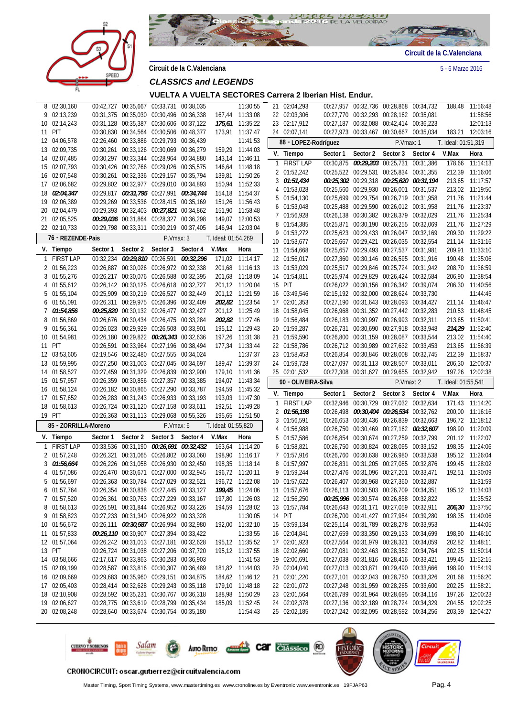



**Circuit de la C.Valenciana** 5 - 6 Marzo 2016

**VUELTA A VUELTA SECTORES Carrera 2 Iberian Hist. Endur.**

|    | 8 02:30,160                  |          |                                         | 00:42,727 00:35,667 00:33,731 00:38,035                                            |          |                     | 11:30:55                           |   | 21 02:04,293                 |          |          | 00:27,957 00:32,736 00:28,868 00:34,732                                            |                                         | 188,48              | 11:56:48                           |
|----|------------------------------|----------|-----------------------------------------|------------------------------------------------------------------------------------|----------|---------------------|------------------------------------|---|------------------------------|----------|----------|------------------------------------------------------------------------------------|-----------------------------------------|---------------------|------------------------------------|
|    | 9 02:13,239                  |          |                                         | 00:31,375 00:35,030 00:30,496 00:36,338                                            |          |                     | 167,44 11:33:08                    |   | 22 02:03,306                 |          |          | 00:27,770 00:32,293 00:28,162 00:35,081                                            |                                         |                     | 11:58:56                           |
|    | 10 02:14,243                 |          |                                         | 00:31,128 00:35,387 00:30,606 00:37,122                                            |          |                     | 175,61 11:35:22                    |   | 23 02:17,912                 |          |          | 00:27,187 00:32,088 00:42,414 00:36,223                                            |                                         |                     | 12:01:13                           |
| 11 | PIT                          |          |                                         | 00:30,830 00:34,564 00:30,506 00:48,377                                            |          |                     | 173,91 11:37:47                    |   | 24 02:07,141                 |          |          | 00:27,973 00:33,467 00:30,667 00:35,034                                            |                                         | 183,21              | 12:03:16                           |
|    | 12 04:06,578                 |          |                                         | 02:26,460 00:33,886 00:29,793 00:36,439                                            |          |                     | 11:41:53                           |   | 88 - LOPEZ-Rodríguez         |          |          | P.Vmax: 1                                                                          |                                         | T. Ideal: 01:51,319 |                                    |
|    | 13 02:09,735                 |          |                                         | 00:30,261 00:33,126 00:30,069 00:36,279                                            |          |                     | 159,29 11:44:03                    |   | V. Tiempo                    | Sector 1 | Sector 2 | Sector 3                                                                           | Sector 4                                | V.Max               | Hora                               |
|    | 14 02:07,485                 |          |                                         | 00:30,297 00:33,344 00:28,964 00:34,880                                            |          |                     | 143,14 11:46:11                    |   | 1 FIRST LAP                  |          |          | 00:30,875 00:29,203 00:25,731 00:31,386                                            |                                         | 178,66              | 11:14:13                           |
|    | 15 02:07,793                 |          |                                         | 00:30,426 00:32,766 00:29,026 00:35,575                                            |          |                     | 146,64 11:48:18                    |   | 2 01:52,242                  |          |          | 00:25,522 00:29,531 00:25,834 00:31,355                                            |                                         |                     | 212,39 11:16:06                    |
|    | 16 02:07,548                 |          |                                         | 00:30,261 00:32,336 00:29,157 00:35,794                                            |          |                     | 139,81 11:50:26                    |   | 3 01:51,434                  |          |          |                                                                                    | 00:25,302 00:29,318 00:25,620 00:31,194 |                     | 213,65 11:17:57                    |
|    | 17 02:06,682                 |          |                                         | 00:29,802 00:32,977 00:29,010 00:34,893                                            |          |                     | 150,94 11:52:33                    |   | 4 01:53,028                  |          |          | 00:25,560 00:29,930 00:26,001 00:31,537                                            |                                         |                     | 213,02 11:19:50                    |
|    | 18 02:04,347                 |          |                                         | 00:29,817 00:31,795 00:27,991 00:34,744                                            |          | 154,18              | 11:54:37                           | 5 | 01:54,130                    |          |          | 00:25,699 00:29,754 00:26,719 00:31,958                                            |                                         | 211,76              | 11:21:44                           |
|    | 19 02:06,389                 |          |                                         | 00:29,269 00:33,536 00:28,415 00:35,169                                            |          |                     | 151,26 11:56:43                    |   | 6 01:53,048                  |          |          | 00:25,488 00:29,590 00:26,012 00:31,958                                            |                                         | 211,76              | 11:23:37                           |
|    | 20 02:04,479<br>21 02:05,525 |          |                                         | 00:29,393 00:32,403 00:27,821 00:34,862<br>00:29,036 00:31,864 00:28,327 00:36,298 |          |                     | 151,90 11:58:48<br>149.07 12:00:53 |   | 7 01:56,928                  |          |          | 00:26,138 00:30,382 00:28,379 00:32,029                                            |                                         |                     | 211,76 11:25:34                    |
|    | 22 02:10,733                 |          |                                         | 00:29,798 00:33,311 00:30,219 00:37,405                                            |          |                     | 146,94 12:03:04                    |   | 8 01:54,385                  |          |          | 00:25,871 00:30,190 00:26,255 00:32,069                                            |                                         |                     | 211,76 11:27:29                    |
|    |                              |          |                                         |                                                                                    |          |                     |                                    |   | 9 01:53,272                  |          |          | 00:25,623 00:29,433 00:26,047 00:32,169                                            |                                         |                     | 209,30 11:29:22                    |
|    | 76 - REZENDE-Pais            |          |                                         | P.Vmax: 3                                                                          |          | T. Ideal: 01:54,269 |                                    |   | 10 01:53,677                 |          |          | 00:25,667 00:29,421 00:26,035 00:32,554                                            |                                         |                     | 211,14 11:31:16                    |
|    | V. Tiempo                    | Sector 1 | Sector 2                                | Sector 3                                                                           | Sector 4 | V.Max               | Hora                               |   | 11 01:54,668                 |          |          | 00:25,657 00:29,493 00:27,537 00:31,981                                            |                                         |                     | 209,91 11:33:10                    |
| 1  | <b>FIRST LAP</b>             |          |                                         | 00:32,234 00:29,810 00:26,591 00:32,296                                            |          | 171,02              | 11:14:17                           |   | 12 01:56,017                 |          |          | 00:27,360 00:30,146 00:26,595 00:31,916                                            |                                         |                     | 190,48 11:35:06                    |
|    | 2 01:56,223                  |          |                                         | 00:26,887 00:30,026 00:26,972 00:32,338                                            |          |                     | 201,68 11:16:13                    |   | 13 01:53,029                 |          |          | 00:25,517 00:29,846 00:25,724 00:31,942                                            |                                         |                     | 208,70 11:36:59                    |
|    | 3 01:55,276                  |          |                                         | 00:26,217 00:30,076 00:26,588 00:32,395                                            |          |                     | 201,68 11:18:09                    |   | 14 01:54,811                 |          |          | 00:25,974 00:29,829 00:26,424 00:32,584                                            |                                         |                     | 206,90 11:38:54                    |
|    | 4 01:55,612                  |          |                                         | 00:26,142 00:30,125 00:26,618 00:32,727                                            |          |                     | 201,12 11:20:04                    |   | 15 PIT                       |          |          | 00:26,022 00:30,156 00:26,342 00:39,074                                            |                                         |                     | 206,30 11:40:56                    |
|    | 5 01:55,104                  |          |                                         | 00:25,909 00:30,219 00:26,527 00:32,449                                            |          |                     | 201,12 11:21:59                    |   | 16 03:49,546                 |          |          | 02:15,192 00:32,000 00:28,624 00:33,730                                            |                                         |                     | 11:44:45                           |
|    | 6 01:55,091                  |          |                                         | 00:26,311 00:29,975 00:26,396 00:32,409                                            |          |                     | 202,82 11:23:54                    |   | 17 02:01,353                 |          |          | 00:27,190 00:31,643 00:28,093 00:34,427                                            |                                         |                     | 211,14 11:46:47                    |
|    | 7 01:54,856                  |          |                                         | 00:25,820 00:30,132 00:26,477 00:32,427                                            |          |                     | 201,12 11:25:49                    |   | 18 01:58,045                 |          |          | 00:26,968 00:31,352 00:27,442 00:32,283                                            |                                         |                     | 210,53 11:48:45                    |
|    | 8 01:56,869                  |          |                                         | 00:26,676 00:30,434 00:26,475 00:33,284                                            |          |                     | 202,82 11:27:46                    |   | 19 01:56,484                 |          |          | 00:26,183 00:30,997 00:26,993 00:32,311                                            |                                         | 213,65              | 11:50:41                           |
|    | 9 01:56,361                  |          |                                         | 00:26,023 00:29,929 00:26,508 00:33,901                                            |          |                     | 195,12 11:29:43                    |   | 20 01:59,287                 |          |          | 00:26,731 00:30,690 00:27,918 00:33,948                                            |                                         |                     | 214,29 11:52:40                    |
|    | 10 01:54,981                 |          |                                         | 00:26,180 00:29,822 00:26,343 00:32,636                                            |          |                     | 197,26 11:31:38                    |   | 21 01:59,590                 |          |          | 00:26,800 00:31,159 00:28,087 00:33,544                                            |                                         |                     | 213,02 11:54:40                    |
|    | 11 PIT                       |          |                                         | 00:26,591 00:33,964 00:27,196 00:38,494                                            |          |                     | 177,34 11:33:44                    |   | 22 01:58,786                 |          |          | 00:26,712 00:30,989 00:27,632 00:33,453                                            |                                         | 213,65              | 11:56:39                           |
|    | 12 03:53,605                 |          |                                         | 02:19,546 00:32,480 00:27,555 00:34,024                                            |          |                     | 11:37:37                           |   | 23 01:58,453                 |          |          | 00:26,854 00:30,846 00:28,008 00:32,745                                            |                                         |                     | 212,39 11:58:37                    |
|    |                              |          |                                         |                                                                                    |          |                     |                                    |   |                              |          |          |                                                                                    |                                         |                     |                                    |
|    | 13 01:59,995                 |          | 00:27,250 00:31,003 00:27,045 00:34,697 |                                                                                    |          |                     | 189,47 11:39:37                    |   | 24 01:59,728                 |          |          | 00:27,097 00:31,113 00:28,507 00:33,011                                            |                                         |                     | 206,30 12:00:37                    |
|    | 14 01:58,527                 |          |                                         | 00:27,459 00:31,329 00:26,839 00:32,900                                            |          |                     | 179,10 11:41:36                    |   | 25 02:01,532                 |          |          | 00:27,308 00:31,627 00:29,655 00:32,942                                            |                                         | 197,26              | 12:02:38                           |
|    | 15 01:57,957                 |          |                                         | 00:26,359 00:30,856 00:27,357 00:33,385                                            |          |                     | 194,07 11:43:34                    |   | 90 - OLIVEIRA-Silva          |          |          | P.Vmax: 2                                                                          |                                         | T. Ideal: 01:55,541 |                                    |
|    | 16 01:58,124                 |          |                                         | 00:26,182 00:30,865 00:27,290 00:33,787                                            |          |                     | 194,59 11:45:32                    |   | V. Tiempo                    | Sector 1 | Sector 2 | Sector 3                                                                           | Sector 4                                | V.Max               | Hora                               |
|    | 17 01:57,652                 |          |                                         | 00:26,283 00:31,243 00:26,933 00:33,193                                            |          |                     | 193,03 11:47:30                    |   | 1 FIRST LAP                  |          |          | 00:32,946 00:30,729 00:27,032 00:32,634                                            |                                         | 171,43              | 11:14:20                           |
|    | 18 01:58,613                 |          |                                         | 00:26,724 00:31,120 00:27,158 00:33,611                                            |          |                     | 192,51 11:49:28                    |   | 2 01:56,198                  |          |          | 00:26,498 00:30,404 00:26,534 00:32,762                                            |                                         |                     | 200,00 11:16:16                    |
|    | 19 PIT                       |          |                                         | 00:26,363 00:31,113 00:29,068 00:55,326                                            |          | 195,65              | 11:51:50                           |   | 3 01:56,591                  |          |          | 00:26,653 00:30,436 00:26,839 00:32,663                                            |                                         |                     | 196,72 11:18:12                    |
|    | 85 - ZORRILLA-Moreno         |          |                                         | P.Vmax: 6                                                                          |          | T. Ideal: 01:55,820 |                                    |   | 4 01:56,988                  |          |          |                                                                                    | 00:26,750 00:30,469 00:27,162 00:32,607 | 198,90              | 11:20:09                           |
|    | V. Tiempo                    | Sector 1 | Sector 2                                | Sector 3                                                                           | Sector 4 | V.Max               | Hora                               |   | 5 01:57,586                  |          |          | 00:26,854 00:30,674 00:27,259 00:32,799                                            |                                         | 201,12              | 11:22:07                           |
|    | 1 FIRST LAP                  |          |                                         | 00:33,536 00:31,190 00:26,691 00:32,432                                            |          | 163.64              | 11:14:20                           |   | 6 01:58,821                  |          |          | 00:26,750 00:30,824 00:28,095 00:33,152                                            |                                         |                     | 198,35 11:24:06                    |
|    | 2 01:57,248                  |          |                                         | 00:26,321 00:31,065 00:26,802 00:33,060                                            |          |                     | 198,90 11:16:17                    |   | 7 01:57,916                  |          |          | 00:26,760 00:30,638 00:26,980 00:33,538                                            |                                         |                     | 195,12 11:26:04                    |
|    | 3 01:56,664                  |          |                                         | 00:26,226 00:31,058 00:26,930 00:32,450                                            |          |                     | 198,35 11:18:14                    |   | 8 01:57,997                  |          |          | 00:26,831 00:31,205 00:27,085 00:32,876                                            |                                         | 199.45              | 11:28:02                           |
|    | 4 01:57,086                  |          |                                         | 00:26,470 00:30,671 00:27,000 00:32,945                                            |          |                     | 196,72 11:20:11                    |   | 9 01:59,244                  |          |          | 00:27,476 00:31,096 00:27,201 00:33,471                                            |                                         |                     | 192,51 11:30:09                    |
|    | 5 01:56,697                  |          |                                         | 00:26,363 00:30,784 00:27,029 00:32,521                                            |          |                     | 196,72 11:22:08                    |   | 10 01:57,622                 |          |          | 00:26,407 00:30,968 00:27,360 00:32,887                                            |                                         |                     | 11:31:59                           |
|    | 6 01:57,764                  |          |                                         | 00:26,354 00:30,838 00:27,445 00:33,127                                            |          |                     | 199,45 11:24:06                    |   | 11 01:57,676                 |          |          | 00:26,113 00:30,503 00:26,709 00:34,351                                            |                                         |                     | 195,12 11:34:03                    |
|    | 7 01:57,520                  |          |                                         | 00:26,361 00:30,763 00:27,229 00:33,167                                            |          |                     | 197,80 11:26:03                    |   | 12 01:56,250                 |          |          | 00:25,996 00:30,574 00:26,858 00:32,822                                            |                                         |                     | 11:35:52                           |
|    | 8 01:58,613                  |          |                                         | 00:26,591 00:31,844 00:26,952 00:33,226                                            |          |                     | 194,59 11:28:02                    |   | 13 01:57,784                 |          |          | 00:26,643 00:31,171 00:27,059 00:32,911                                            |                                         |                     | 206,30 11:37:50                    |
|    | 9 01:58,823                  |          |                                         | 00:27,233 00:31,340 00:26,922 00:33,328                                            |          |                     | 11:30:05                           |   | 14 PIT                       |          |          | 00:26,700 00:41,427 00:27,954 00:39,280                                            |                                         |                     | 198,35 11:40:06                    |
|    | 10 01:56,672                 |          |                                         | 00:26,111 00:30,587 00:26,994 00:32,980                                            |          |                     | 192,00 11:32:10                    |   | 15 03:59,134                 |          |          | 02:25,114 00:31,789 00:28,278 00:33,953                                            |                                         |                     | 11:44:05                           |
|    | 11 01:57,833                 |          |                                         | 00:26,110 00:30,907 00:27,394 00:33,422                                            |          |                     | 11:33:55                           |   | 16 02:04,841                 |          |          | 00:27,659 00:33,350 00:29,133 00:34,699                                            |                                         |                     | 198,90 11:46:10                    |
|    | 12 01:57,064                 |          |                                         | 00:26,242 00:31,013 00:27,181 00:32,628                                            |          |                     | 195,12 11:35:52                    |   | 17 02:01,923                 |          |          | 00:27,564 00:31,979 00:28,321 00:34,059                                            |                                         |                     | 202,82 11:48:11                    |
|    | 13 PIT                       |          |                                         | 00:26,724 00:31,038 00:27,206 00:37,720                                            |          |                     | 195,12 11:37:55                    |   | 18 02:02,660                 |          |          | 00:27,081 00:32,463 00:28,352 00:34,764                                            |                                         |                     | 202,25 11:50:14                    |
|    | 14 03:58,666                 |          |                                         | 02:17,617 00:33,863 00:30,283 00:36,903                                            |          |                     | 11:41:53                           |   | 19 02:00,691                 |          |          | 00:27,038 00:31,816 00:28,416 00:33,421                                            |                                         |                     | 199,45 11:52:15                    |
|    | 15 02:09,199                 |          |                                         | 00:28,587 00:33,816 00:30,307 00:36,489                                            |          |                     | 181,82 11:44:03                    |   | 20 02:04,040                 |          |          | 00:27,013 00:33,871 00:29,490 00:33,666                                            |                                         |                     | 198,90 11:54:19                    |
|    | 16 02:09,669                 |          |                                         | 00:29,683 00:35,960 00:29,151 00:34,875                                            |          |                     | 184,62 11:46:12<br>179,10 11:48:18 |   | 21 02:01,220                 |          |          | 00:27,101 00:32,043 00:28,750 00:33,326                                            |                                         |                     | 201,68 11:56:20                    |
|    | 17 02:05,403<br>18 02:10,908 |          |                                         | 00:28,414 00:32,628 00:29,243 00:35,118<br>00:28,592 00:35,231 00:30,767 00:36,318 |          |                     | 188,98 11:50:29                    |   | 22 02:01,072                 |          |          | 00:27,248 00:31,959 00:28,265 00:33,600<br>00:26,789 00:31,964 00:28,695 00:34,116 |                                         |                     | 202,25 11:58:21<br>197,26 12:00:23 |
|    |                              |          |                                         | 00:28,775 00:33,619 00:28,799 00:35,434                                            |          |                     | 185,09 11:52:45                    |   | 23 02:01,564<br>24 02:02,378 |          |          | 00:27,136 00:32,189 00:28,724 00:34,329                                            |                                         |                     |                                    |
|    | 19 02:06,627<br>20 02:08,248 |          |                                         | 00:28,640 00:33,674 00:30,754 00:35,180                                            |          |                     | 11:54:43                           |   | 25 02:02,185                 |          |          | 00:27,242 00:32,095 00:28,592 00:34,256                                            |                                         |                     | 204,55 12:02:25<br>203,39 12:04:27 |



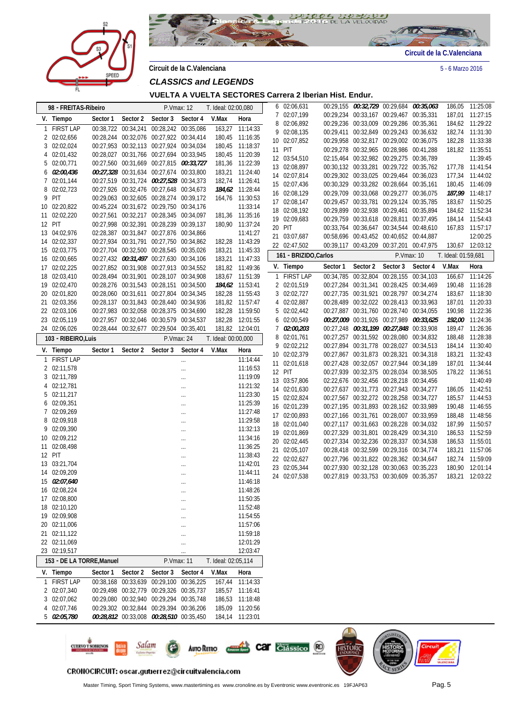



**Circuit de la C.Valenciana** 5 - 6 Marzo 2016

**VUELTA A VUELTA SECTORES Carrera 2 Iberian Hist. Endur.**

|    | 98 - FREITAS-Ribeiro      |          |                     | P.Vmax: 12                              |          | T. Ideal: 02:00,080 |                 |              | 6 02:06,631            |          | 00:29,155 00:32,729 00:29,684 00:35,063                                            |            |           |                     | 186,05 11:25:08             |
|----|---------------------------|----------|---------------------|-----------------------------------------|----------|---------------------|-----------------|--------------|------------------------|----------|------------------------------------------------------------------------------------|------------|-----------|---------------------|-----------------------------|
|    |                           |          |                     |                                         |          |                     |                 | 7            | 02:07,199              |          | 00:29,234 00:33,167 00:29,467 00:35,331                                            |            |           |                     | 187,01 11:27:15             |
|    | V. Tiempo                 | Sector 1 | Sector 2            | Sector 3                                | Sector 4 | V.Max               | Hora            | 8            | 02:06,892              |          | 00:29,236 00:33,009 00:29,286 00:35,361                                            |            |           |                     | 184,62 11:29:22             |
|    | 1 FIRST LAP               |          | 00:38,722 00:34,241 | 00:28,242 00:35,086                     |          |                     | 163,27 11:14:33 |              | 9 02:08,135            |          | 00:29,411 00:32,849 00:29,243 00:36,632                                            |            |           |                     | 182,74 11:31:30             |
|    | 2 02:02,656               |          |                     | 00:28,244 00:32,076 00:27,922 00:34,414 |          |                     | 180,45 11:16:35 |              | 10 02:07,852           |          | 00:29,958 00:32,817 00:29,002 00:36,075                                            |            |           |                     | 182,28 11:33:38             |
|    | 3 02:02,024               |          |                     | 00:27,953 00:32,113 00:27,924 00:34,034 |          |                     | 180,45 11:18:37 | 11           | PIT                    |          | 00:29,278 00:32,965 00:28,986 00:41,288                                            |            |           |                     | 181,82 11:35:51             |
|    | 4 02:01,432               |          |                     | 00:28,027 00:31,766 00:27,694 00:33,945 |          |                     | 180,45 11:20:39 |              | 12 03:54,510           |          | 02:15,464 00:32,982 00:29,275 00:36,789                                            |            |           |                     | 11:39:45                    |
|    | 5 02:00,771               |          |                     | 00:27,560 00:31,669 00:27,815 00:33,727 |          |                     | 181,36 11:22:39 |              | 13 02:08,897           |          | 00:30,132 00:33,281 00:29,722 00:35,762                                            |            |           |                     | 177,78 11:41:54             |
|    | 6 02:00,436               |          |                     | 00:27,328 00:31,634 00:27,674 00:33,800 |          |                     | 183,21 11:24:40 |              | 14 02:07,814           |          | 00:29,302 00:33,025 00:29,464 00:36,023                                            |            |           |                     | 177,34 11:44:02             |
|    | 7 02:01,144               |          |                     | 00:27,519 00:31,724 00:27,528 00:34,373 |          |                     | 182,74 11:26:41 |              | 15 02:07,436           |          | 00:30,329 00:33,282 00:28,664 00:35,161                                            |            |           |                     | 180,45 11:46:09             |
|    | 8 02:02,723               |          |                     | 00:27,926 00:32,476 00:27,648 00:34,673 |          |                     | 184,62 11:28:44 |              | 16 02:08,129           |          | 00:29,709 00:33,068 00:29,277 00:36,075                                            |            |           |                     | 187,99 11:48:17             |
|    | 9 PIT                     |          |                     | 00:29,063 00:32,605 00:28,274 00:39,172 |          |                     | 164,76 11:30:53 |              | 17 02:08,147           |          | 00:29,457 00:33,781 00:29,124 00:35,785                                            |            |           |                     | 183,67 11:50:25             |
|    | 10 02:20,822              |          |                     | 00:45,224 00:31,672 00:29,750 00:34,176 |          |                     | 11:33:14        |              | 18 02:08,192           |          | 00:29,899 00:32,938 00:29,461 00:35,894                                            |            |           |                     | 184,62 11:52:34             |
| 11 | 02:02,220                 |          |                     | 00:27,561 00:32,217 00:28,345 00:34,097 |          |                     | 181,36 11:35:16 |              | 19 02:09,683           |          | 00:29,759 00:33,618 00:28,811 00:37,495                                            |            |           |                     |                             |
|    | 12 PIT                    |          |                     | 00:27,998 00:32,391 00:28,239 00:39,137 |          |                     | 180,90 11:37:24 |              |                        |          |                                                                                    |            |           |                     | 184,14 11:54:43             |
|    | 13 04:02,976              |          |                     | 02:28,387 00:31,847 00:27,876 00:34,866 |          |                     | 11:41:27        |              | 20 PIT                 |          | 00:33,764 00:36,647 00:34,544 00:48,610                                            |            |           |                     | 167,83 11:57:17             |
|    | 14 02:02,337              |          |                     | 00:27,934 00:31,791 00:27,750 00:34,862 |          |                     | 182,28 11:43:29 |              | 21 03:07,687           |          | 00:58,696 00:43,452 00:40,652 00:44,887                                            |            |           |                     | 12:00:25                    |
|    | 15 02:03,775              |          |                     | 00:27,704 00:32,500 00:28,545 00:35,026 |          |                     | 183,21 11:45:33 |              | 22 02:47,502           |          | 00:39,117 00:43,209 00:37,201 00:47,975                                            |            |           |                     | 130,67 12:03:12             |
|    | 16 02:00,665              |          |                     | 00:27,432 00:31,497 00:27,630 00:34,106 |          |                     | 183,21 11:47:33 |              | 161 - BRIZIDO, Carlos  |          |                                                                                    | P.Vmax: 10 |           | T. Ideal: 01:59,681 |                             |
|    | 17 02:02,225              |          |                     | 00:27,852 00:31,908 00:27,913 00:34,552 |          |                     | 181,82 11:49:36 |              | V. Tiempo              | Sector 1 | Sector 2                                                                           | Sector 3   | Sector 4  | V.Max               | Hora                        |
|    | 18 02:03,410              |          |                     | 00:28,494 00:31,901 00:28,107 00:34,908 |          |                     | 183,67 11:51:39 | $\mathbf{1}$ | <b>FIRST LAP</b>       |          | 00:34,785 00:32,804                                                                | 00:28,155  | 00:34,103 | 166,67              | 11:14:26                    |
|    | 19 02:02,470              |          |                     | 00:28,276 00:31,543 00:28,151 00:34,500 |          |                     | 184,62 11:53:41 |              | 2 02:01,519            |          | 00:27,284 00:31,341 00:28,425 00:34,469                                            |            |           |                     | 190,48 11:16:28             |
|    | 20 02:01,820              |          |                     | 00:28,060 00:31,611 00:27,804 00:34,345 |          |                     | 182,28 11:55:43 |              | 3 02:02,727            |          | 00:27,735 00:31,921 00:28,797 00:34,274                                            |            |           |                     | 183,67 11:18:30             |
|    | 21 02:03,356              |          |                     | 00:28,137 00:31,843 00:28,440 00:34,936 |          |                     | 181,82 11:57:47 |              | 4 02:02,887            |          | 00:28,489 00:32,022 00:28,413 00:33,963                                            |            |           |                     | 187,01 11:20:33             |
|    | 22 02:03,106              |          |                     | 00:27,983 00:32,058 00:28,375 00:34,690 |          |                     | 182,28 11:59:50 |              | 5 02:02,442            |          | 00:27,887 00:31,760 00:28,740 00:34,055                                            |            |           |                     | 190,98 11:22:36             |
|    | 23 02:05,119              |          |                     | 00:27,957 00:32,046 00:30,579 00:34,537 |          |                     | 182,28 12:01:55 |              | 6 02:00,549            |          | 00:27,009 00:31,926 00:27,989 00:33,625                                            |            |           |                     | 192,00 11:24:36             |
|    | 24 02:06,026              |          |                     | 00:28,444 00:32,677 00:29,504 00:35,401 |          |                     | 181,82 12:04:01 | 7            | <i>02:00,203</i>       |          | 00:27,248 00:31,199 00:27,848 00:33,908                                            |            |           |                     | 189,47 11:26:36             |
|    |                           |          |                     |                                         |          |                     |                 |              | 8 02:01,761            |          | 00:27,257 00:31,592 00:28,080 00:34,832                                            |            |           |                     | 188,48 11:28:38             |
|    | 103 - RIBEIRO, Luis       |          |                     | P.Vmax: 24                              |          | T. Ideal: 00:00,000 |                 |              | 9 02:02,212            |          | 00:27,894 00:31,778 00:28,027 00:34,513                                            |            |           |                     | 184,14 11:30:40             |
|    | V. Tiempo                 | Sector 1 | Sector 2            | Sector 3                                | Sector 4 | V.Max               | Hora            |              | 10 02:02,379           |          | 00:27,867 00:31,873 00:28,321 00:34,318                                            |            |           |                     | 183,21 11:32:43             |
| 1  | <b>FIRST LAP</b>          |          |                     |                                         |          |                     | 11:14:44        |              | 11 02:01,618           |          | 00:27,428 00:32,057 00:27,944 00:34,189                                            |            |           |                     |                             |
|    | 2 02:11,578               |          |                     |                                         |          |                     | 11:16:53        |              |                        |          |                                                                                    |            |           |                     | 187,01 11:34:44             |
|    | 3 02:11,789               |          |                     |                                         |          |                     | 11:19:09        |              | 12 PIT<br>13 03:57,806 |          | 00:27,939 00:32,375 00:28,034 00:38,505<br>02:22,676 00:32,456 00:28,218 00:34,456 |            |           |                     | 178,22 11:36:51<br>11:40:49 |
|    | 4 02:12,781               |          |                     |                                         | $\cdots$ |                     | 11:21:32        |              |                        |          |                                                                                    |            |           |                     |                             |
|    | 5 02:11,217               |          |                     |                                         | $\cdots$ |                     | 11:23:30        |              | 14 02:01,630           |          | 00:27,637 00:31,773 00:27,943 00:34,277                                            |            |           |                     | 186,05 11:42:51             |
|    | 6 02:09,351               |          |                     |                                         | $\cdots$ |                     | 11:25:39        |              | 15 02:02,824           |          | 00:27,567 00:32,272 00:28,258 00:34,727                                            |            |           |                     | 185,57 11:44:53             |
|    | 7 02:09,269               |          |                     |                                         | $\cdots$ |                     | 11:27:48        |              | 16 02:01,239           |          | 00:27,195 00:31,893 00:28,162 00:33,989                                            |            |           |                     | 190,48 11:46:55             |
|    | 8 02:09,918               |          |                     |                                         |          |                     | 11:29:58        |              | 17 02:00,893           |          | 00:27,166 00:31,761 00:28,007 00:33,959                                            |            |           |                     | 188,48 11:48:56             |
|    | 9 02:09,390               |          |                     |                                         | $\cdots$ |                     | 11:32:13        |              | 18 02:01,040           |          | 00:27,117 00:31,663 00:28,228 00:34,032                                            |            |           |                     | 187,99 11:50:57             |
|    | 10 02:09,212              |          |                     |                                         | $\cdots$ |                     | 11:34:16        |              | 19 02:01,869           |          | 00:27,329 00:31,801 00:28,429 00:34,310                                            |            |           |                     | 186,53 11:52:59             |
| 11 | 02:08,498                 |          |                     |                                         |          |                     | 11:36:25        |              | 20 02:02,445           |          | 00:27,334 00:32,236 00:28,337 00:34,538                                            |            |           |                     | 186,53 11:55:01             |
|    | 12 PIT                    |          |                     |                                         | $\cdots$ |                     | 11:38:43        |              | 21 02:05,107           |          | 00:28,418 00:32,599 00:29,316 00:34,774                                            |            |           |                     | 183,21 11:57:06             |
|    | 13 03:21,704              |          |                     |                                         |          |                     | 11:42:01        |              | 22 02:02,627           |          | 00:27,796 00:31,822 00:28,362 00:34,647                                            |            |           |                     | 182,74 11:59:09             |
|    | 14 02:09,209              |          |                     |                                         | $\cdots$ |                     | 11:44:11        |              | 23 02:05,344           |          | 00:27,930 00:32,128 00:30,063 00:35,223                                            |            |           |                     | 180,90 12:01:14             |
|    | 15 02:07,640              |          |                     |                                         |          |                     | 11:46:18        |              | 24 02:07,538           |          | 00:27,819 00:33,753 00:30,609 00:35,357                                            |            |           |                     | 183,21 12:03:22             |
|    | 16 02:08,224              |          |                     |                                         |          |                     | 11:48:26        |              |                        |          |                                                                                    |            |           |                     |                             |
|    | 17 02:08,800              |          |                     |                                         |          |                     | 11:50:35        |              |                        |          |                                                                                    |            |           |                     |                             |
|    | 18 02:10,120              |          |                     |                                         |          |                     | 11:52:48        |              |                        |          |                                                                                    |            |           |                     |                             |
|    | 19 02:09,908              |          |                     |                                         |          |                     | 11:54:55        |              |                        |          |                                                                                    |            |           |                     |                             |
|    | 20 02:11,006              |          |                     |                                         |          |                     | 11:57:06        |              |                        |          |                                                                                    |            |           |                     |                             |
|    | 21 02:11,122              |          |                     |                                         | $\cdots$ |                     | 11:59:18        |              |                        |          |                                                                                    |            |           |                     |                             |
|    | 22 02:11,069              |          |                     |                                         | $\cdots$ |                     |                 |              |                        |          |                                                                                    |            |           |                     |                             |
|    |                           |          |                     |                                         |          |                     | 12:01:29        |              |                        |          |                                                                                    |            |           |                     |                             |
|    | 23 02:19,517              |          |                     |                                         | $\cdots$ |                     | 12:03:47        |              |                        |          |                                                                                    |            |           |                     |                             |
|    | 153 - DE LA TORRE, Manuel |          |                     | P.Vmax: 11                              |          | T. Ideal: 02:05,114 |                 |              |                        |          |                                                                                    |            |           |                     |                             |
|    | V. Tiempo                 | Sector 1 | Sector 2            | Sector 3                                | Sector 4 | V.Max               | Hora            |              |                        |          |                                                                                    |            |           |                     |                             |
|    | 1 FIRST LAP               |          |                     | 00:38,168 00:33,639 00:29,100 00:36,225 |          |                     | 167,44 11:14:33 |              |                        |          |                                                                                    |            |           |                     |                             |
|    | 2 02:07,340               |          |                     | 00:29,498 00:32,779 00:29,326 00:35,737 |          |                     | 185,57 11:16:41 |              |                        |          |                                                                                    |            |           |                     |                             |
|    | 3 02:07,062               |          |                     | 00:29,080 00:32,940 00:29,294 00:35,748 |          |                     | 186,53 11:18:48 |              |                        |          |                                                                                    |            |           |                     |                             |
|    | 4 02:07,746               |          |                     | 00:29,302 00:32,844 00:29,394 00:36,206 |          |                     | 185,09 11:20:56 |              |                        |          |                                                                                    |            |           |                     |                             |
|    | 5 02:05,780               |          |                     | 00:28,812 00:33,008 00:28,510 00:35,450 |          |                     | 184,14 11:23:01 |              |                        |          |                                                                                    |            |           |                     |                             |
|    |                           |          |                     |                                         |          |                     |                 |              |                        |          |                                                                                    | ORTUSTED   |           |                     |                             |



### CRONOCIRCUIT: oscar.gutierrez@circuitvalencia.com

Master Timing, Sport Timing Systems, www.mastertiming.es www.cronoline.es by Eventronic www.eventronic.es 19FJAP63 Pag. 5

šŤŌ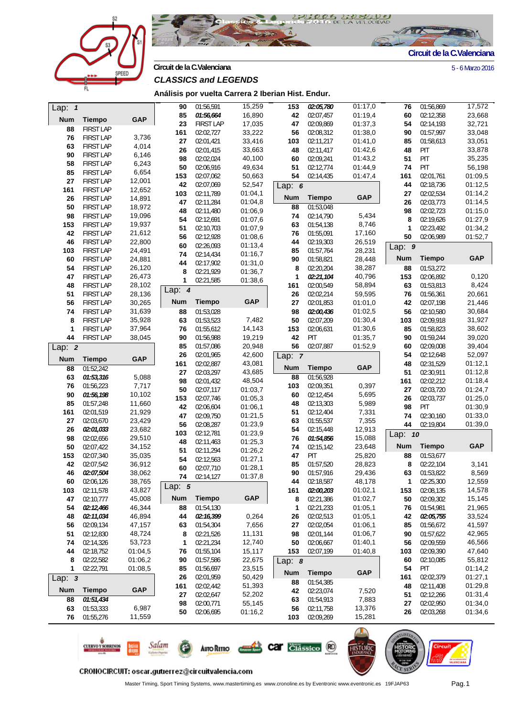



**Circuit de la C.Valenciana** 5 - 6 Marzo 2016

# *CLASSICS and LEGENDS*

**Análisis por vuelta Carrera 2 Iberian Hist. Endur.**

| Lap: $1$   |                        |                  | 90         | 01:56,591        | 15,259     | 153        | 02:05,780              | 01:17,0          | 76           | 01:56,869     | 17,572     |
|------------|------------------------|------------------|------------|------------------|------------|------------|------------------------|------------------|--------------|---------------|------------|
| <b>Num</b> | <b>Tiempo</b>          | <b>GAP</b>       | 85         | 01:56,664        | 16,890     | 42         | 02:07,457              | 01:19,4          | 60           | 02:12,358     | 23,668     |
| 88         | <b>FIRST LAP</b>       |                  | 23         | <b>FIRST LAP</b> | 17,035     | 47         | 02:09,869              | 01:37,3          | 54           | 02:14,193     | 32,721     |
| 76         | <b>FIRST LAP</b>       | 3,736            | 161        | 02:02,727        | 33,222     | 56         | 02:08,312              | 01:38,0          | 90           | 01:57,997     | 33,048     |
| 63         | <b>FIRST LAP</b>       | 4,014            | 27         | 02:01,421        | 33,416     | 103        | 02:11,217              | 01:41,0          | 85           | 01:58,613     | 33,051     |
| 90         | <b>FIRST LAP</b>       | 6,146            | 26         | 02:01,415        | 33,663     | 48         | 02:11,417              | 01:42,6          | 48           | PIT           | 33,878     |
| 58         | <b>FIRST LAP</b>       | 6,243            | 98         | 02:02,024        | 40,100     | 60         | 02:09,241              | 01:43,2          | 51           | PIT           | 35,235     |
| 85         | <b>FIRST LAP</b>       | 6,654            | 50         | 02:06,916        | 49,634     | 51         | 02:12,774              | 01:44,9          | 74           | PIT           | 56,198     |
| 27         | <b>FIRST LAP</b>       | 12,001           | 153        | 02:07,062        | 50,663     | 54         | 02:14,435              | 01:47,4          | 161          | 02:01,761     | 01:09,5    |
| 161        | <b>FIRST LAP</b>       | 12,652           | 42         | 02:07,069        | 52,547     | Lap: $6$   |                        |                  | 44           | 02:18,736     | 01:12,5    |
| 26         | <b>FIRST LAP</b>       | 14,891           | 103        | 02:11,789        | 01:04,1    | <b>Num</b> | <b>Tiempo</b>          | <b>GAP</b>       | 27           | 02:02,534     | 01:14,2    |
| 50         | <b>FIRST LAP</b>       | 18,972           | 47         | 02:11,284        | 01:04,8    | 88         | 01:53,048              |                  | 26           | 02:03,773     | 01:14,5    |
| 98         | <b>FIRST LAP</b>       | 19,096           | 48         | 02:11,480        | 01:06,9    | 74         | 02:14,790              | 5,434            | 98           | 02:02,723     | 01:15,0    |
| 153        | <b>FIRST LAP</b>       | 19,937           | 54         | 02:12,691        | 01:07,6    | 63         | 01:54,138              | 8,746            | 8            | 02:19,626     | 01:27,9    |
| 42         | <b>FIRST LAP</b>       | 21,612           | 51         | 02:10,703        | 01:07,9    | 76         | 01:55,091              | 17,160           | 1            | 02:23,492     | 01:34,2    |
| 46         | <b>FIRST LAP</b>       | 22,800           | 56         | 02:12,928        | 01:08,6    | 44         | 02:19,303              | 26,519           | 50           | 02:06,989     | 01:52,7    |
| 103        | <b>FIRST LAP</b>       | 24,491           | 60         | 02:26,093        | 01:13,4    | 85         | 01:57,764              | 28,231           | Lap: $9$     |               |            |
| 60         | <b>FIRST LAP</b>       | 24,881           | 74         | 02:14,434        | 01:16,7    | 90         | 01:58,821              | 28,448           | <b>Num</b>   | <b>Tiempo</b> | <b>GAP</b> |
| 54         | <b>FIRST LAP</b>       | 26,120           | 44         | 02:17,902        | 01:31,0    | 8          | 02:20,204              | 38,287           | 88           | 01:53,272     |            |
| 47         | <b>FIRST LAP</b>       | 26,473           | 8          | 02:21,929        | 01:36,7    | 1          | 02:21,104              | 40,796           | 153          | 02:06,892     | 0,120      |
| 48         | <b>FIRST LAP</b>       | 28,102           | 1          | 02:21,585        | 01:38,6    | 161        | 02:00,549              | 58,894           | 63           | 01:53,813     | 8,424      |
| 51         | <b>FIRST LAP</b>       | 28,136           | Lap: $4$   |                  |            | 26         | 02:02,214              | 59,595           | 76           | 01:56,361     | 20,661     |
| 56         | <b>FIRST LAP</b>       | 30,265           | <b>Num</b> | <b>Tiempo</b>    | <b>GAP</b> | 27         | 02:01,853              | 01:01,0          | 42           | 02:07,198     | 21,446     |
| 74         | <b>FIRST LAP</b>       | 31,639           | 88         | 01:53,028        |            | 98         | 02:00,436              | 01:02,5          | 56           | 02:10,580     | 30,684     |
| 8          | <b>FIRST LAP</b>       | 35,928           | 63         | 01:53,523        | 7,482      | 50         | 02:07,209              | 01:30,4          | 103          | 02:09,918     | 31,927     |
| 1          | <b>FIRST LAP</b>       | 37,964           | 76         | 01:55,612        | 14,143     | 153        | 02:06,631              | 01:30,6          | 85           | 01:58,823     | 38,602     |
| 44         | <b>FIRST LAP</b>       | 38,045           | 90         | 01:56,988        | 19,219     | 42         | <b>PIT</b>             | 01:35,7          | 90           | 01:59,244     | 39,020     |
| Lap: $2$   |                        |                  | 85         | 01:57,086        | 20,948     | 56         | 02:07,887              | 01:52,9          | 60           | 02:09,008     | 39,404     |
|            |                        |                  | 26         | 02:01,965        | 42,600     | Lap: 7     |                        |                  | 54           | 02:12,648     | 52,097     |
| <b>Num</b> | <b>Tiempo</b>          | <b>GAP</b>       | 161        | 02:02,887        | 43,081     |            |                        |                  | 48           | 02:31,529     | 01:12,1    |
| 88         | 01:52,242              |                  | 27         | 02:03,297        | 43,685     | <b>Num</b> | <b>Tiempo</b>          | <b>GAP</b>       | 51           | 02:30,911     | 01:12,8    |
| 63         | 01:53,316              | 5,088            | 98         | 02:01,432        | 48,504     | 88         | 01:56,928              |                  | 161          | 02:02,212     | 01:18,4    |
| 76         | 01:56,223              | 7,717            | 50         | 02:07,117        | 01:03,7    | 103        | 02:09,351              | 0,397            | 27           | 02:03,720     | 01:24,7    |
| 90         | 01:56,198              | 10,102           | 153        | 02:07,746        | 01:05,3    | 60         | 02:12,454              | 5,695            | 26           | 02:03,737     | 01:25,0    |
| 85         | 01:57,248              | 11,660<br>21,929 | 42         | 02:06,604        | 01:06,1    | 48         | 02:13,303              | 5,989            | 98           | PIT           | 01:30,9    |
| 161        | 02:01,519              |                  | 47         | 02:09,750        | 01:21,5    | 51         | 02:12,404              | 7,331            | 74           | 02:30,160     | 01:33,0    |
| 27         | 02:03,670              | 23,429           | 56         | 02:08,287        | 01:23,9    | 63         | 01:55,537              | 7,355            | 44           | 02:19,804     | 01:39,0    |
| 26<br>98   | 02:01,033<br>02:02,656 | 23,682<br>29,510 | 103        | 02:12,781        | 01:23,9    | 54<br>76   | 02:15,448<br>01:54,856 | 12,913<br>15,088 | Lap: 10      |               |            |
| 50         | 02:07,422              | 34,152           | 48         | 02:11,463        | 01:25,3    | 74         | 02:15,142              | 23,648           | <b>Num</b>   | <b>Tiempo</b> | <b>GAP</b> |
| 153        | 02:07,340              | 35,035           | 51         | 02:11,294        | 01:26,2    | 47         | PIT                    | 25,820           | 88           | 01:53,677     |            |
| 42         | 02:07,542              | 36,912           | 54         | 02:12,563        | 01:27,1    | 85         | 01:57,520              | 28,823           | 8            | 02:22,104     | 3,141      |
| 46         | 02:07,504              | 38,062           | 60         | 02:07,710        | 01:28,1    | 90         | 01:57,916              | 29,436           | 63           | 01:53,822     | 8,569      |
| 60         | 02:06,126              | 38,765           | 74         | 02:14,127        | 01:37,8    | 44         | 02:18,587              | 48,178           | $\mathbf{1}$ | 02:25,300     | 12,559     |
| 103        | 02:11,578              | 43,827           | Lap: $5$   |                  |            | 161        | 02:00,203              | 01:02,1          | 153          | 02:08,135     | 14,578     |
| 47         | 02:10,777              | 45,008           | <b>Num</b> | <b>Tiempo</b>    | <b>GAP</b> | 8          | 02:21,386              | 01:02,7          | 50           | 02:09,302     | 15,145     |
| 54         | 02:12,466              | 46,344           | 88         | 01:54,130        |            | 1          | 02:21,233              | 01:05,1          | 76           | 01:54,981     | 21,965     |
| 48         | 02:11,034              | 46,894           | 44         | 02:16,399        | 0,264      | 26         | 02:02,513              | 01:05,1          | 42           | 02:05,755     | 33,524     |
| 56         | 02:09,134              | 47,157           | 63         | 01:54,304        | 7,656      | 27         | 02:02,054              | 01:06,1          | 85           | 01:56,672     | 41,597     |
| 51         | 02:12,830              | 48,724           | 8          | 02:21,526        | 11,131     | 98         | 02:01,144              | 01:06,7          | 90           | 01:57,622     | 42,965     |
| 74         | 02:14,326              | 53,723           | 1          | 02:21,234        | 12,740     | 50         | 02:06,667              | 01:40,1          | 56           | 02:09,559     | 46,566     |
| 44         | 02:18,752              | 01:04,5          | 76         | 01:55,104        | 15,117     | 153        | 02:07,199              | 01:40,8          | 103          | 02:09,390     | 47,640     |
| 8          | 02:22,582              | 01:06,2          | 90         | 01:57,586        | 22,675     | Lap: $8$   |                        |                  | 60           | 02:10,085     | 55,812     |
| 1          | 02:22,791              | 01:08,5          | 85         | 01:56,697        | 23,515     |            |                        |                  | 54           | PIT           | 01:14,2    |
| Lap: $3$   |                        |                  | 26         | 02:01,959        | 50,429     | <b>Num</b> | <b>Tiempo</b>          | <b>GAP</b>       | 161          | 02:02,379     | 01:27,1    |
|            |                        |                  | 161        | 02:02,442        | 51,393     | 88         | 01:54,385              |                  | 48           | 02:11,408     | 01:29,8    |
| <b>Num</b> | <b>Tiempo</b>          | <b>GAP</b>       | 27         | 02:02,647        | 52,202     | 42         | 02:23,074              | 7,520            | 51           | 02:12,266     | 01:31,4    |
| 88         | 01:51,434              |                  | 98         | 02:00,771        | 55,145     | 63         | 01:54,913              | 7,883            | 27           | 02:02,950     | 01:34,0    |
| 63         | 01:53,333              | 6,987            | 50         | 02:06,695        | 01:16,2    | 56         | 02:11,758              | 13,376           | 26           | 02:03,268     | 01:34,6    |
| 76         | 01:55,276              | 11,559           |            |                  |            | 103        | 02:09,269              | 15,281           |              |               |            |
|            |                        |                  |            |                  |            |            |                        | $\bigcirc$       | $-1000$      |               |            |



**AUTO RETRO** 

Salam

**CUERVO Y SOBRINOS** 

Master Timing, Sport Timing Systems, www.mastertiming.es www.cronoline.es by Eventronic www.eventronic.es 19FJAP63 Pag.1

**Car Clássico** (20)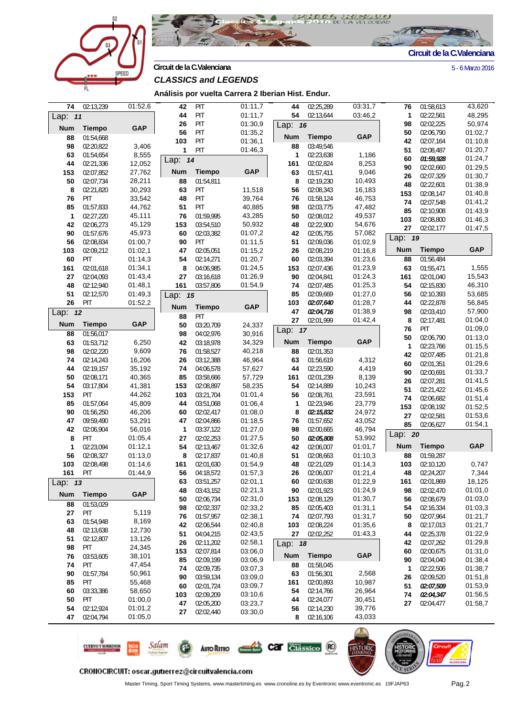



**Circuit de la C.Valenciana** 5 - 6 Marzo 2016

**Análisis por vuelta Carrera 2 Iberian Hist. Endur.**

| 74          | 02:13,239     | 01:52,6    | 42         | PIT           | 01:11,7    | 44         | 02:25,289     | 03:31,7    | 76           | 01:58,613     | 43,620     |
|-------------|---------------|------------|------------|---------------|------------|------------|---------------|------------|--------------|---------------|------------|
| Lap: 11     |               |            | 44         | PIT           | 01:11,7    | 54         | 02:13,644     | 03:46,2    | 1            | 02:22,561     | 48,295     |
|             |               |            | 26         | PIT           | 01:30,9    | Lap: 16    |               |            | 98           | 02:02,225     | 50,974     |
| <b>Num</b>  | <b>Tiempo</b> | <b>GAP</b> | 56         | PIT           | 01:35,2    |            |               |            | 50           | 02:06,790     | 01:02,7    |
| 88          | 01:54,668     |            | 103        | PIT           | 01:36,1    | <b>Num</b> | <b>Tiempo</b> | <b>GAP</b> | 42           | 02:07,164     | 01:10,8    |
| 98          | 02:20.822     | 3,406      | 1          | PIT           | 01:46,3    | 88         | 03:49,546     |            | 51           | 02:08.487     | 01:20,7    |
| 63          | 01:54.654     | 8,555      | Lap: $14$  |               |            | 1          | 02:23,638     | 1,186      | 60           | 01:59,928     | 01:24,7    |
| 44          | 02:21,336     | 12,052     |            |               |            | 161        | 02:02,824     | 8,253      | 90           | 02:02,660     | 01:29,5    |
| 153         | 02:07,852     | 27,762     | <b>Num</b> | <b>Tiempo</b> | <b>GAP</b> | 63         | 01:57,411     | 9,046      | 26           | 02:07,329     | 01:30,7    |
| 50          | 02:07,734     | 28,211     | 88         | 01:54,811     |            | 8          | 02:19,230     | 10,493     | 48           | 02:22,601     | 01:38,9    |
| 8           | 02:21,820     | 30,293     | 63         | <b>PIT</b>    | 11,518     | 56         | 02:08,343     | 16,183     | 153          | 02:08,147     | 01:40,8    |
| 76          | PIT           | 33,542     | 48         | PIT           | 39,764     | 76         | 01:58,124     | 46,753     |              |               |            |
| 85          | 01:57,833     | 44,762     | 51         | PIT           | 40,885     | 98         | 02:03,775     | 47,482     | 74           | 02:07,548     | 01:41,2    |
| $\mathbf 1$ | 02:27,220     | 45,111     | 76         | 01:59,995     | 43,285     | 50         | 02:08,012     | 49,537     | 85           | 02:10,908     | 01:43,9    |
| 42          | 02:06,273     | 45,129     | 153        | 03:54,510     | 50,932     | 48         | 02:22,900     | 54,676     | 103          | 02:08,800     | 01:46,3    |
| 90          | 01:57,676     | 45,973     | 60         | 02:03,382     | 01:07,2    | 42         | 02:05,755     | 57,082     | 27           | 02:02,177     | 01:47,5    |
| 56          | 02:08,834     | 01:00,7    | 90         | <b>PIT</b>    | 01:11,5    | 51         | 02:09,036     | 01:02,9    | Lap: 19      |               |            |
| 103         | 02:09,212     | 01:02,1    | 47         | 02:05,051     | 01:15,2    | 26         | 02:08,219     | 01:16,8    | <b>Num</b>   | <b>Tiempo</b> | <b>GAP</b> |
| 60          | PIT           | 01:14,3    | 54         | 02:14,271     | 01:20,7    | 60         | 02:03,394     | 01:23,6    | 88           | 01:56,484     |            |
|             |               |            |            | 04:06,985     | 01:24,5    |            |               | 01:23,9    |              |               | 1,555      |
| 161         | 02:01,618     | 01:34,1    | 8          |               |            | 153        | 02:07,436     |            | 63           | 01:55,471     |            |
| 27          | 02:04,093     | 01:43,4    | 27         | 03:16,618     | 01:26,9    | 90         | 02:04,841     | 01:24,3    | 161          | 02:01.040     | 15,543     |
| 48          | 02:12,940     | 01:48,1    | 161        | 03:57,806     | 01:54,9    | 74         | 02:07,485     | 01:25,3    | 54           | 02:15,830     | 46,310     |
| 51          | 02:12,570     | 01:49,3    | Lap: 15    |               |            | 85         | 02:09,669     | 01:27,0    | 56           | 02:10,393     | 53,685     |
| 26          | PIT           | 01:52,2    | <b>Num</b> | <b>Tiempo</b> | <b>GAP</b> | 103        | 02:07,640     | 01:28,7    | 44           | 02:22,878     | 56,845     |
| Lap: $12$   |               |            | 88         | PIT           |            | 47         | 02:04,716     | 01:38,9    | 98           | 02:03,410     | 57,900     |
| <b>Num</b>  | <b>Tiempo</b> | <b>GAP</b> | 50         | 03:20,709     | 24,337     | 27         | 02:01,999     | 01:42,4    | 8            | 02:17,481     | 01:04,0    |
| 88          | 01:56,017     |            | 98         | 04:02,976     | 30,916     | Lap: 17    |               |            | 76           | PIT           | 01:09,0    |
| 63          | 01:53,712     | 6,250      | 42         | 03:18,978     | 34,329     | <b>Num</b> | <b>Tiempo</b> | <b>GAP</b> | 50           | 02:06,790     | 01:13,0    |
| 98          | 02:02,220     | 9,609      | 76         | 01:58,527     | 40,218     | 88         | 02:01,353     |            | $\mathbf{1}$ | 02:23,766     | 01:15,5    |
|             |               |            |            |               |            |            |               | 4,312      | 42           | 02:07,485     | 01:21,8    |
| 74          | 02:14,243     | 16,206     | 26         | 03:12,388     | 46,964     | 63         | 01:56,619     |            | 60           | 02:01,351     | 01:29,6    |
| 44          | 02:19,157     | 35,192     | 74         | 04:06,578     | 57,627     | 44         | 02:23,590     | 4,419      | 90           | 02:00,691     | 01:33,7    |
| 50          | 02:08,171     | 40,365     | 85         | 03:58,666     | 57,729     | 161        | 02:01,239     | 8,139      | 26           | 02:07,281     | 01:41,5    |
| 54          | 03:17,804     | 41,381     | 153        | 02:08,897     | 58,235     | 54         | 02:14,889     | 10,243     | 51           | 02:21,422     | 01:45,6    |
| 153         | PIT           | 44,262     | 103        | 03:21,704     | 01:01,4    | 56         | 02:08,761     | 23,591     | 74           | 02:06,682     | 01:51,4    |
| 85          | 01:57,064     | 45,809     | 44         | 03:51,068     | 01:06,4    | 1          | 02:23,946     | 23,779     | 153          | 02:08,192     | 01:52,5    |
| 90          | 01:56,250     | 46,206     | 60         | 02:02,417     | 01:08,0    | 8          | 02:15,832     | 24,972     | 27           | 02:02,581     | 01:53,6    |
| 47          | 09:59,490     | 53,291     | 47         | 02:04,866     | 01:18,5    | 76         | 01:57,652     | 43,052     | 85           | 02:06,627     | 01:54,1    |
| 42          | 02:06,904     | 56,016     | 1          | 03:37,122     | 01:27,0    | 98         | 02:00,665     | 46,794     | Lap: 20      |               |            |
| 8           | PIT           | 01:05,4    | 27         | 02:02,253     | 01:27,5    | 50         | 02:05,808     | 53,992     |              |               |            |
| 1           | 02:23,094     | 01:12,1    | 54         | 02:13,467     | 01:32,6    | 42         | 02:06,007     | 01:01,7    | <b>Num</b>   | <b>Tiempo</b> | <b>GAP</b> |
| 56          | 02:08,327     | 01:13,0    | 8          | 02:17,837     | 01:40,8    | 51         | 02:08,663     | 01:10,3    | 88           | 01:59,287     |            |
| 103         | 02:08,498     | 01:14,6    | 161        | 02:01,630     | 01:54,9    | 48         | 02:21,029     | 01:14,3    | 103          | 02:10,120     | 0,747      |
| 161         | PIT           | 01:44,9    | 56         | 04:18,572     | 01:57,3    | 26         | 02:06,007     | 01:21,4    | 48           | 02:24,207     | 7,344      |
| Lap: $13$   |               |            | 63         | 03:51,257     | 02:01,1    | 60         | 02:00,638     | 01:22,9    | 161          | 02:01,869     | 18,125     |
|             |               |            | 48         | 03:43,152     | 02:21,3    | 90         | 02:01,923     | 01:24,9    | 98           | 02:02,470     | 01:01,0    |
| <b>Num</b>  | <b>Tiempo</b> | <b>GAP</b> | 50         | 02:06,734     | 02:31,0    | 153        | 02:08,129     | 01:30,7    | 56           | 02:08,679     | 01:03,0    |
| 88          | 01:53,029     |            | 98         | 02:02,337     | 02:33,2    | 85         | 02:05,403     | 01:31,1    | 54           | 02:16,334     | 01:03,3    |
| 27          | PIT           | 5,119      | 76         | 01:57,957     | 02:38,1    | 74         | 02:07,793     | 01:31,7    | 50           | 02:07,964     | 01:21,7    |
| 63          | 01:54,948     | 8,169      | 42         | 02:06,544     | 02:40,8    | 103        | 02:08,224     | 01:35,6    | 8            | 02:17,013     | 01:21,7    |
| 48          | 02:13,638     | 12,730     | 51         | 04:04,215     |            | 27         |               | 01:43,3    |              | 02:25,378     | 01:22,9    |
| 51          | 02:12,807     | 13,126     |            |               | 02:43,5    |            | 02:02,252     |            | 44           |               | 01:29,8    |
| 98          | PIT           | 24,345     | 26         | 02:11,202     | 02:58,1    | Lap: 18    |               |            | 42           | 02:07,262     |            |
| 76          | 03:53,605     | 38,101     | 153        | 02:07,814     | 03:06,0    | <b>Num</b> | <b>Tiempo</b> | <b>GAP</b> | 60           | 02:00,675     | 01:31,0    |
| 74          | PIT           | 47,454     | 85         | 02:09,199     | 03:06,9    | 88         | 01:58,045     |            | 90           | 02:04,040     | 01:38,4    |
| 90          | 01:57,784     | 50,961     | 74         | 02:09,735     | 03:07,3    | 63         | 01:56,301     | 2,568      | $\mathbf{1}$ | 02:22,506     | 01:38,7    |
| 85          | PIT           | 55,468     | 90         | 03:59,134     | 03:09,0    | 161        | 02:00,893     | 10,987     | 26           | 02:09,520     | 01:51,8    |
| 60          | 03:33,386     | 58,650     | 60         | 02:01,724     | 03:09,7    | 54         | 02:14,766     | 26,964     | 51           | 02:07,509     | 01:53,9    |
|             |               |            | 103        | 02:09,209     | 03:10,6    |            |               |            | 74           | 02:04,347     | 01:56,5    |
| 50          | PIT           | 01:00,0    | 47         | 02:05,200     | 03:23,7    | 44         | 02:24,077     | 30,451     | 27           | 02:04,477     | 01:58,7    |
| 54          | 02:12,924     | 01:01,2    | 27         | 02:02,440     | 03:30,0    | 56         | 02:14,230     | 39,776     |              |               |            |
| 47          | 02:04,794     | 01:05,0    |            |               |            | 8          | 02:16,106     | 43,033     |              |               |            |
|             |               |            |            |               |            |            |               |            |              |               |            |



**AUTO RETRO** 

Salam

**CUERVO Y SOBRINOS** 

Master Timing, Sport Timing Systems, www.mastertiming.es www.cronoline.es by Eventronic www.eventronic.es 19FJAP63 Pag.2

**Car** Ciassico<sup>(R)</sup>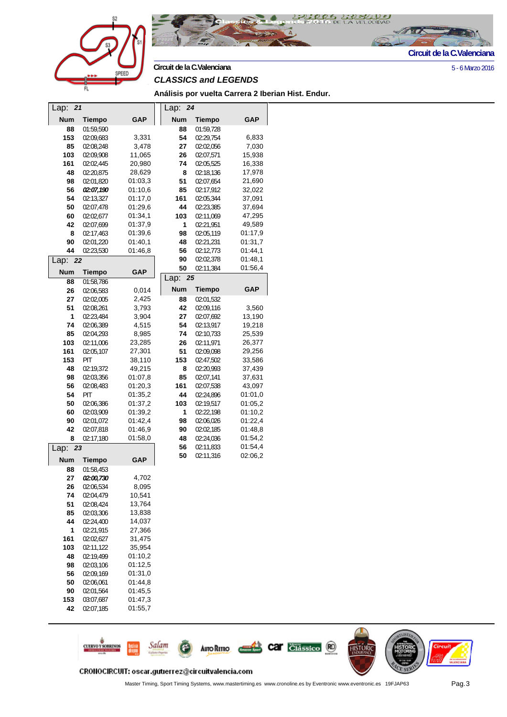



**Circuit de la C.Valenciana** 5 - 6 Marzo 2016

#### *CLASSICS and LEGENDS*

**Análisis por vuelta Carrera 2 Iberian Hist. Endur.**

| Lap:       | 21            |            | Lap:<br>24 |               |            |
|------------|---------------|------------|------------|---------------|------------|
| <b>Num</b> | <b>Tiempo</b> | GAP        | <b>Num</b> | <b>Tiempo</b> | GAP        |
| 88         | 01:59,590     |            | 88         | 01:59,728     |            |
| 153        | 02:09,683     | 3,331      | 54         | 02:29,754     | 6,833      |
| 85         | 02:08,248     | 3,478      | 27         | 02:02,056     | 7,030      |
| 103        | 02:09,908     | 11,065     | 26         | 02:07,571     | 15,938     |
| 161        | 02:02,445     | 20,980     | 74         | 02:05,525     | 16,338     |
| 48         | 02:20,875     | 28,629     | 8          | 02:18,136     | 17,978     |
| 98         | 02:01,820     | 01:03,3    | 51         | 02:07,654     | 21,690     |
| 56         | 02:07,190     | 01:10,6    | 85         | 02:17,912     | 32,022     |
| 54         | 02:13,327     | 01:17,0    | 161        | 02:05,344     | 37,091     |
| 50         | 02:07,478     | 01:29,6    | 44         | 02:23,385     | 37,694     |
| 60         | 02:02,677     | 01:34,1    | 103        | 02:11,069     | 47,295     |
| 42         | 02:07,699     | 01:37,9    | 1          | 02:21,951     | 49,589     |
| 8          | 02:17,463     | 01:39,6    | 98         | 02:05,119     | 01:17,9    |
| 90         | 02:01,220     | 01:40,1    | 48         | 02:21,231     | 01:31,7    |
| 44         | 02:23,530     | 01:46,8    | 56         | 02:12,773     | 01:44,1    |
| Lap:       | 22            |            | 90         | 02:02,378     | 01:48,1    |
| <b>Num</b> | <b>Tiempo</b> | <b>GAP</b> | 50         | 02:11,384     | 01:56,4    |
| 88         | 01:58,786     |            | Lap:<br>25 |               |            |
| 26         | 02:06,583     | 0,014      | <b>Num</b> | <b>Tiempo</b> | <b>GAP</b> |
| 27         | 02:02,005     | 2,425      | 88         | 02:01,532     |            |
| 51         | 02:08,261     | 3,793      | 42         | 02:09,116     | 3,560      |
| 1          | 02:23,484     | 3,904      | 27         | 02:07,692     | 13,190     |
| 74         | 02:06,389     | 4,515      | 54         | 02:13,917     | 19,218     |
| 85         | 02:04,293     | 8,985      | 74         | 02:10,733     | 25,539     |
| 103        | 02:11,006     | 23,285     | 26         | 02:11,971     | 26,377     |
| 161        | 02:05,107     | 27,301     | 51         | 02:09,098     | 29,256     |
| 153        | PIT           | 38,110     | 153        | 02:47,502     | 33,586     |
| 48         | 02:19,372     | 49,215     | 8          | 02:20,993     | 37,439     |
| 98         | 02:03,356     | 01:07,8    | 85         | 02:07,141     | 37,631     |
| 56         | 02:08,483     | 01:20,3    | 161        | 02:07,538     | 43,097     |
| 54         | PIT           | 01:35,2    | 44         | 02:24,896     | 01:01,0    |
| 50         | 02:06,386     | 01:37,2    | 103        | 02:19,517     | 01:05,2    |
| 60         | 02:03,909     | 01:39,2    | 1          | 02:22,198     | 01:10,2    |
| 90         | 02:01,072     | 01:42,4    | 98         | 02:06,026     | 01:22,4    |
| 42         | 02:07,818     | 01:46,9    | 90         | 02:02,185     | 01:48,8    |
| 8          | 02:17,180     | 01:58,0    | 48         | 02:24,036     | 01:54,2    |
| Lap:       | 23            |            | 56         | 02:11,833     | 01:54,4    |
| <b>Num</b> | Tiempo        | GAP        | 50         | 02:11,316     | 02:06,2    |
| 88         | 01:58,453     |            |            |               |            |
| 27         | 02:00,730     | 4,702      |            |               |            |
| 26         | 02:06,534     | 8,095      |            |               |            |
| 74         | 02:04,479     | 10,541     |            |               |            |
| 51         | 02:08,424     | 13,764     |            |               |            |
| 85         | 02:03,306     | 13,838     |            |               |            |
| 44         | 02:24,400     | 14,037     |            |               |            |
| 1          | 02:21,915     | 27,366     |            |               |            |
| 161        | 02:02,627     | 31,475     |            |               |            |
| 103        | 02:11,122     | 35,954     |            |               |            |
| 48         | 02:19,499     | 01:10,2    |            |               |            |
| 98         | 02:03,106     | 01:12,5    |            |               |            |
| 56         | 02:09,169     | 01:31,0    |            |               |            |
| 50         | 02:06,061     | 01:44,8    |            |               |            |
| 90         | 02:01,564     | 01:45,5    |            |               |            |
| 153        | 03:07,687     | 01:47,3    |            |               |            |
| 42         | 02:07,185     | 01:55,7    |            |               |            |
|            |               |            |            |               |            |



**AUTO RETRO** 

Salam

**CUERVO Y SOBRINOS** 

Car Classico<sup>RO</sup>